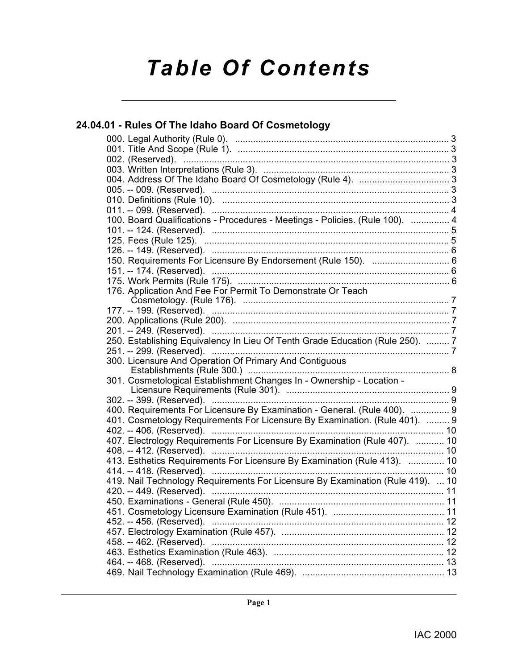# *Table Of Contents*

# **[24.04.01 - Rules Of The Idaho Board Of Cosmetology](#page-2-0)**

|  | 100. Board Qualifications - Procedures - Meetings - Policies. (Rule 100).  4   |    |
|--|--------------------------------------------------------------------------------|----|
|  |                                                                                |    |
|  |                                                                                |    |
|  |                                                                                |    |
|  | 150. Requirements For Licensure By Endorsement (Rule 150).  6                  |    |
|  |                                                                                |    |
|  |                                                                                |    |
|  | 176. Application And Fee For Permit To Demonstrate Or Teach                    |    |
|  |                                                                                |    |
|  |                                                                                |    |
|  |                                                                                |    |
|  |                                                                                |    |
|  | 250. Establishing Equivalency In Lieu Of Tenth Grade Education (Rule 250).  7  |    |
|  |                                                                                |    |
|  | 300. Licensure And Operation Of Primary And Contiguous                         |    |
|  | 301. Cosmetological Establishment Changes In - Ownership - Location -          |    |
|  |                                                                                |    |
|  | 302. -- 399. (Reserved). ………………………………………………………………………………… 9                     |    |
|  | 400. Requirements For Licensure By Examination - General. (Rule 400).  9       |    |
|  | 401. Cosmetology Requirements For Licensure By Examination. (Rule 401).  9     |    |
|  |                                                                                |    |
|  | 407. Electrology Requirements For Licensure By Examination (Rule 407).  10     |    |
|  |                                                                                |    |
|  | 413. Esthetics Requirements For Licensure By Examination (Rule 413).  10       |    |
|  |                                                                                |    |
|  | 419. Nail Technology Requirements For Licensure By Examination (Rule 419).  10 |    |
|  |                                                                                |    |
|  |                                                                                |    |
|  |                                                                                | 11 |
|  | 452. -- 456. (Reserved). ………………………………………………………………………… 12                       |    |
|  |                                                                                |    |
|  |                                                                                |    |
|  |                                                                                |    |
|  |                                                                                |    |
|  |                                                                                |    |
|  |                                                                                |    |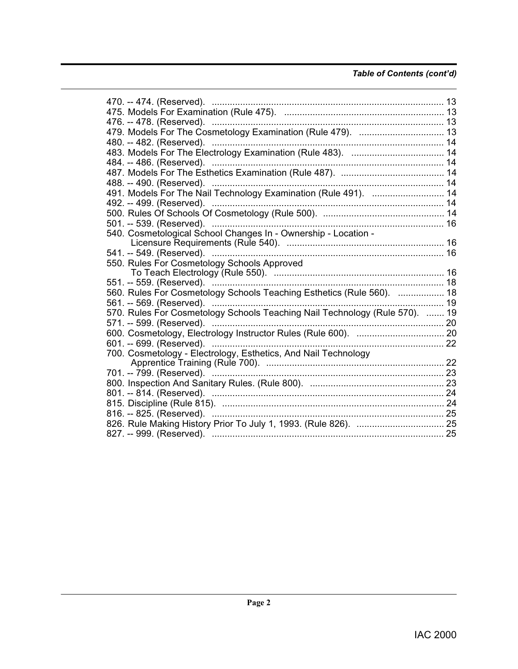# *Table of Contents (cont'd)*

| 470. -- 474. (Reserved). ………………………………………………………………………… 13                    |  |
|-----------------------------------------------------------------------------|--|
|                                                                             |  |
|                                                                             |  |
|                                                                             |  |
|                                                                             |  |
|                                                                             |  |
| 484. -- 486. (Reserved). ………………………………………………………………………… 14                    |  |
|                                                                             |  |
|                                                                             |  |
|                                                                             |  |
|                                                                             |  |
|                                                                             |  |
| 501. -- 539. (Reserved). …………………………………………………………………………… 16                   |  |
| 540. Cosmetological School Changes In - Ownership - Location -              |  |
|                                                                             |  |
|                                                                             |  |
| 550. Rules For Cosmetology Schools Approved                                 |  |
|                                                                             |  |
|                                                                             |  |
| 560. Rules For Cosmetology Schools Teaching Esthetics (Rule 560).  18       |  |
| 561. -- 569. (Reserved). ………………………………………………………………………… 19                    |  |
| 570. Rules For Cosmetology Schools Teaching Nail Technology (Rule 570).  19 |  |
|                                                                             |  |
|                                                                             |  |
| 601. -- 699. (Reserved). ………………………………………………………………………… 22                    |  |
| 700. Cosmetology - Electrology, Esthetics, And Nail Technology              |  |
|                                                                             |  |
|                                                                             |  |
|                                                                             |  |
|                                                                             |  |
|                                                                             |  |
|                                                                             |  |
|                                                                             |  |
|                                                                             |  |
|                                                                             |  |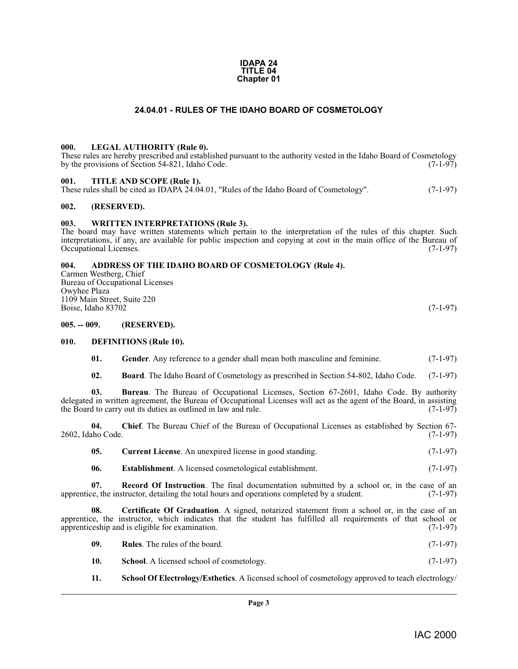#### **IDAPA 24 TITLE 04 Chapter 01**

### **24.04.01 - RULES OF THE IDAHO BOARD OF COSMETOLOGY**

#### <span id="page-2-17"></span><span id="page-2-1"></span><span id="page-2-0"></span>**000. LEGAL AUTHORITY (Rule 0).**

These rules are hereby prescribed and established pursuant to the authority vested in the Idaho Board of Cosmetology by the provisions of Section 54-821, Idaho Code. (7-1-97)

#### <span id="page-2-22"></span><span id="page-2-2"></span>**001. TITLE AND SCOPE (Rule 1).**

These rules shall be cited as IDAPA 24.04.01, "Rules of the Idaho Board of Cosmetology". (7-1-97)

#### <span id="page-2-3"></span>**002. (RESERVED).**

#### <span id="page-2-23"></span><span id="page-2-4"></span>**003. WRITTEN INTERPRETATIONS (Rule 3).**

The board may have written statements which pertain to the interpretation of the rules of this chapter. Such interpretations, if any, are available for public inspection and copying at cost in the main office of the Bureau of Occupational Licenses. (7-1-97)

#### <span id="page-2-8"></span><span id="page-2-5"></span>**004. ADDRESS OF THE IDAHO BOARD OF COSMETOLOGY (Rule 4).**

Carmen Westberg, Chief Bureau of Occupational Licenses Owyhee Plaza 1109 Main Street, Suite 220 Boise, Idaho 83702 (7-1-97)

<span id="page-2-6"></span>**005. -- 009. (RESERVED).**

#### <span id="page-2-7"></span>**010. DEFINITIONS (Rule 10).**

- <span id="page-2-16"></span><span id="page-2-14"></span>**01.** Gender. Any reference to a gender shall mean both masculine and feminine. (7-1-97)
- <span id="page-2-10"></span><span id="page-2-9"></span>**02. Board**. The Idaho Board of Cosmetology as prescribed in Section 54-802, Idaho Code. (7-1-97)

**03. Bureau**. The Bureau of Occupational Licenses, Section 67-2601, Idaho Code. By authority delegated in written agreement, the Bureau of Occupational Licenses will act as the agent of the Board, in assisting the Board to carry out its duties as outlined in law and rule. (7-1-97) the Board to carry out its duties as outlined in law and rule.

**04.** Chief. The Bureau Chief of the Bureau of Occupational Licenses as established by Section 67-<br>(7-1-97) (7-1-97) 2602, Idaho Code.

<span id="page-2-13"></span><span id="page-2-12"></span>

| 05. | <b>Current License.</b> An unexpired license in good standing. | $(7-1-97)$ |
|-----|----------------------------------------------------------------|------------|
|-----|----------------------------------------------------------------|------------|

<span id="page-2-18"></span><span id="page-2-15"></span><span id="page-2-11"></span>**06.** Establishment. A licensed cosmetological establishment. (7-1-97)

**07. Record Of Instruction**. The final documentation submitted by a school or, in the case of an apprentice, the instructor, detailing the total hours and operations completed by a student. (7-1-97)

**08. Certificate Of Graduation**. A signed, notarized statement from a school or, in the case of an apprentice, the instructor, which indicates that the student has fulfilled all requirements of that school or apprenticeship and is eligible for examination. (7-1-97)

- <span id="page-2-19"></span>**09. Rules**. The rules of the board. (7-1-97)
- <span id="page-2-20"></span>**10. School**. A licensed school of cosmetology. (7-1-97)
- <span id="page-2-21"></span>**11. School Of Electrology/Esthetics**. A licensed school of cosmetology approved to teach electrology/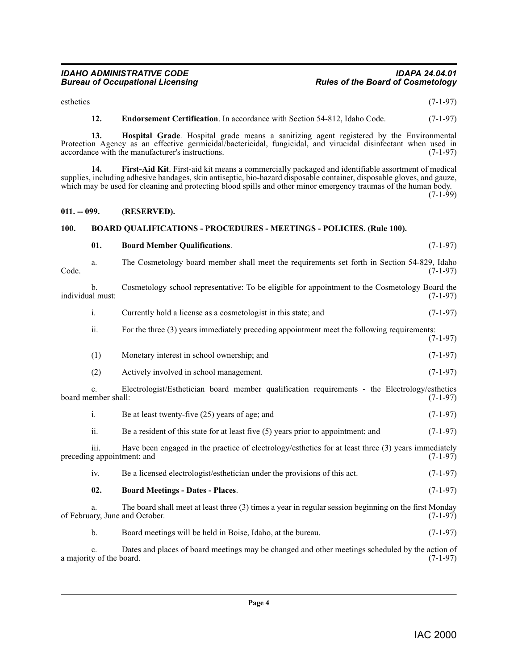esthetics (7-1-97)

<span id="page-3-7"></span><span id="page-3-6"></span><span id="page-3-5"></span>**12. Endorsement Certification**. In accordance with Section 54-812, Idaho Code. (7-1-97)

<span id="page-3-4"></span><span id="page-3-3"></span>**01. Board Member Qualifications**. (7-1-97)

**13. Hospital Grade**. Hospital grade means a sanitizing agent registered by the Environmental Protection Agency as an effective germicidal/bactericidal, fungicidal, and virucidal disinfectant when used in accordance with the manufacturer's instructions. (7-1-97) accordance with the manufacturer's instructions.

**14. First-Aid Kit**. First-aid kit means a commercially packaged and identifiable assortment of medical supplies, including adhesive bandages, skin antiseptic, bio-hazard disposable container, disposable gloves, and gauze, which may be used for cleaning and protecting blood spills and other minor emergency traumas of the human body.

 $(7-1-99)$ 

### <span id="page-3-0"></span>**011. -- 099. (RESERVED).**

### <span id="page-3-1"></span>**100. BOARD QUALIFICATIONS - PROCEDURES - MEETINGS - POLICIES. (Rule 100).**

<span id="page-3-2"></span>

| The Cosmetology board member shall meet the requirements set forth in Section 54-829, Idaho<br>a.<br>Code.                  |               | $(7-1-97)$                                                                                            |            |
|-----------------------------------------------------------------------------------------------------------------------------|---------------|-------------------------------------------------------------------------------------------------------|------------|
| individual must:                                                                                                            | b.            | Cosmetology school representative: To be eligible for appointment to the Cosmetology Board the        | $(7-1-97)$ |
|                                                                                                                             | i.            | Currently hold a license as a cosmetologist in this state; and                                        | $(7-1-97)$ |
|                                                                                                                             | ii.           | For the three (3) years immediately preceding appointment meet the following requirements:            | $(7-1-97)$ |
|                                                                                                                             | (1)           | Monetary interest in school ownership; and                                                            | $(7-1-97)$ |
|                                                                                                                             | (2)           | Actively involved in school management.                                                               | $(7-1-97)$ |
| C <sub>1</sub><br>board member shall:                                                                                       |               | Electrologist/Esthetician board member qualification requirements - the Electrology/esthetics         | $(7-1-97)$ |
|                                                                                                                             | i.            | Be at least twenty-five (25) years of age; and                                                        | $(7-1-97)$ |
|                                                                                                                             | ii.           | Be a resident of this state for at least five (5) years prior to appointment; and                     | $(7-1-97)$ |
| iii.<br>preceding appointment; and                                                                                          |               | Have been engaged in the practice of electrology/esthetics for at least three (3) years immediately   | $(7-1-97)$ |
|                                                                                                                             | iv.           | Be a licensed electrologist/esthetician under the provisions of this act.                             | $(7-1-97)$ |
|                                                                                                                             | 02.           | <b>Board Meetings - Dates - Places.</b>                                                               | $(7-1-97)$ |
| a.<br>of February, June and October.                                                                                        |               | The board shall meet at least three (3) times a year in regular session beginning on the first Monday | $(7-1-97)$ |
|                                                                                                                             | $\mathbf b$ . | Board meetings will be held in Boise, Idaho, at the bureau.                                           | $(7-1-97)$ |
| Dates and places of board meetings may be changed and other meetings scheduled by the action of<br>a majority of the board. |               | $(7-1-97)$                                                                                            |            |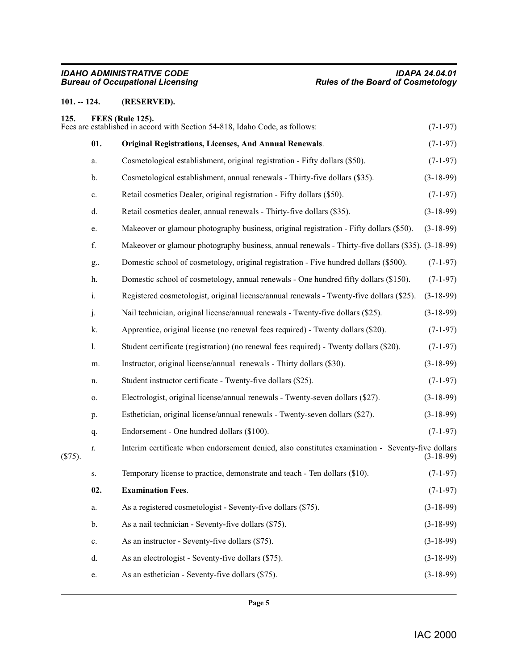# <span id="page-4-0"></span>**101. -- 124. (RESERVED).**

<span id="page-4-4"></span><span id="page-4-3"></span><span id="page-4-2"></span><span id="page-4-1"></span>

| 125.    |               | FEES (Rule 125).<br>Fees are established in accord with Section 54-818, Idaho Code, as follows:   | $(7-1-97)$  |
|---------|---------------|---------------------------------------------------------------------------------------------------|-------------|
|         | 01.           | <b>Original Registrations, Licenses, And Annual Renewals.</b>                                     | $(7-1-97)$  |
|         | a.            | Cosmetological establishment, original registration - Fifty dollars (\$50).                       | $(7-1-97)$  |
|         | b.            | Cosmetological establishment, annual renewals - Thirty-five dollars (\$35).                       | $(3-18-99)$ |
|         | c.            | Retail cosmetics Dealer, original registration - Fifty dollars (\$50).                            | $(7-1-97)$  |
|         | d.            | Retail cosmetics dealer, annual renewals - Thirty-five dollars (\$35).                            | $(3-18-99)$ |
|         | e.            | Makeover or glamour photography business, original registration - Fifty dollars (\$50).           | $(3-18-99)$ |
|         | f.            | Makeover or glamour photography business, annual renewals - Thirty-five dollars (\$35). (3-18-99) |             |
|         | g             | Domestic school of cosmetology, original registration - Five hundred dollars (\$500).             | $(7-1-97)$  |
|         | h.            | Domestic school of cosmetology, annual renewals - One hundred fifty dollars (\$150).              | $(7-1-97)$  |
|         | i.            | Registered cosmetologist, original license/annual renewals - Twenty-five dollars (\$25).          | $(3-18-99)$ |
|         | j.            | Nail technician, original license/annual renewals - Twenty-five dollars (\$25).                   | $(3-18-99)$ |
|         | k.            | Apprentice, original license (no renewal fees required) - Twenty dollars (\$20).                  | $(7-1-97)$  |
|         | 1.            | Student certificate (registration) (no renewal fees required) - Twenty dollars (\$20).            | $(7-1-97)$  |
|         | m.            | Instructor, original license/annual renewals - Thirty dollars (\$30).                             | $(3-18-99)$ |
|         | n.            | Student instructor certificate - Twenty-five dollars (\$25).                                      | $(7-1-97)$  |
|         | 0.            | Electrologist, original license/annual renewals - Twenty-seven dollars (\$27).                    | $(3-18-99)$ |
|         | p.            | Esthetician, original license/annual renewals - Twenty-seven dollars (\$27).                      | $(3-18-99)$ |
|         | q.            | Endorsement - One hundred dollars (\$100).                                                        | $(7-1-97)$  |
| (\$75). | r.            | Interim certificate when endorsement denied, also constitutes examination - Seventy-five dollars  | $(3-18-99)$ |
|         | S.            | Temporary license to practice, demonstrate and teach - Ten dollars (\$10).                        | $(7-1-97)$  |
|         | 02.           | <b>Examination Fees.</b>                                                                          | $(7-1-97)$  |
|         | a.            | As a registered cosmetologist - Seventy-five dollars (\$75).                                      | $(3-18-99)$ |
|         | b.            | As a nail technician - Seventy-five dollars (\$75).                                               | $(3-18-99)$ |
|         | $\mathbf{c}.$ | As an instructor - Seventy-five dollars (\$75).                                                   | $(3-18-99)$ |
|         | d.            | As an electrologist - Seventy-five dollars (\$75).                                                | $(3-18-99)$ |
|         | e.            | As an esthetician - Seventy-five dollars (\$75).                                                  | $(3-18-99)$ |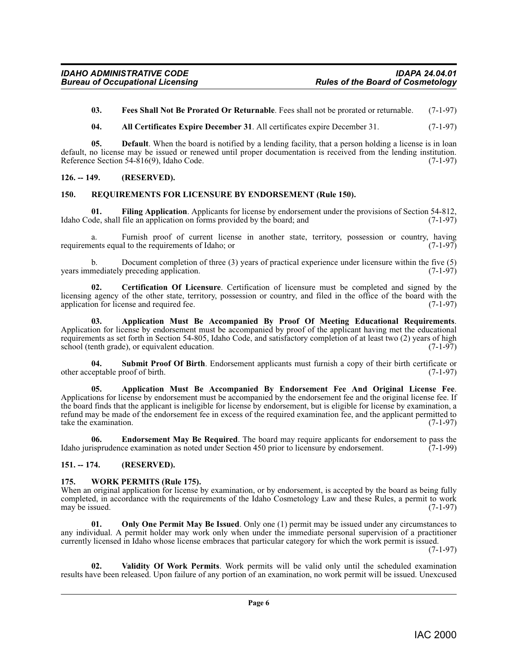<span id="page-5-10"></span>**03. Fees Shall Not Be Prorated Or Returnable**. Fees shall not be prorated or returnable. (7-1-97)

<span id="page-5-8"></span><span id="page-5-4"></span>**04. All Certificates Expire December 31**. All certificates expire December 31. (7-1-97)

**05. Default**. When the board is notified by a lending facility, that a person holding a license is in loan default, no license may be issued or renewed until proper documentation is received from the lending institution.<br>Reference Section 54-816(9). Idaho Code. (7-1-97) Reference Section  $54-\dot{8}16(9)$ , Idaho Code.

#### <span id="page-5-0"></span>**126. -- 149. (RESERVED).**

#### <span id="page-5-13"></span><span id="page-5-1"></span>**150. REQUIREMENTS FOR LICENSURE BY ENDORSEMENT (Rule 150).**

<span id="page-5-11"></span>**01. Filing Application**. Applicants for license by endorsement under the provisions of Section 54-812, Idaho Code, shall file an application on forms provided by the board; and (7-1-97)

a. Furnish proof of current license in another state, territory, possession or country, having ents equal to the requirements of Idaho; or requirements equal to the requirements of Idaho; or

b. Document completion of three (3) years of practical experience under licensure within the five (5) mediately preceding application.  $(7-1-97)$ years immediately preceding application.

<span id="page-5-7"></span>**02. Certification Of Licensure**. Certification of licensure must be completed and signed by the licensing agency of the other state, territory, possession or country, and filed in the office of the board with the application for license and required fee.  $(7-1-97)$ 

<span id="page-5-6"></span>**03. Application Must Be Accompanied By Proof Of Meeting Educational Requirements**. Application for license by endorsement must be accompanied by proof of the applicant having met the educational requirements as set forth in Section 54-805, Idaho Code, and satisfactory completion of at least two (2) years of high school (tenth grade), or equivalent education. (7-1-97) school (tenth grade), or equivalent education.

<span id="page-5-14"></span>**04.** Submit Proof Of Birth. Endorsement applicants must furnish a copy of their birth certificate or eptable proof of birth. (7-1-97) other acceptable proof of birth.

<span id="page-5-5"></span>**05. Application Must Be Accompanied By Endorsement Fee And Original License Fee**. Applications for license by endorsement must be accompanied by the endorsement fee and the original license fee. If the board finds that the applicant is ineligible for license by endorsement, but is eligible for license by examination, a refund may be made of the endorsement fee in excess of the required examination fee, and the applicant permitted to take the examination. (7-1-97)

<span id="page-5-9"></span>**06. Endorsement May Be Required**. The board may require applicants for endorsement to pass the Idaho jurisprudence examination as noted under Section 450 prior to licensure by endorsement. (7-1-99)

#### <span id="page-5-2"></span>**151. -- 174. (RESERVED).**

#### <span id="page-5-16"></span><span id="page-5-3"></span>**175. WORK PERMITS (Rule 175).**

When an original application for license by examination, or by endorsement, is accepted by the board as being fully completed, in accordance with the requirements of the Idaho Cosmetology Law and these Rules, a permit to work may be issued. (7-1-97) may be issued.

<span id="page-5-12"></span>**01. Only One Permit May Be Issued**. Only one (1) permit may be issued under any circumstances to any individual. A permit holder may work only when under the immediate personal supervision of a practitioner currently licensed in Idaho whose license embraces that particular category for which the work permit is issued.

(7-1-97)

<span id="page-5-15"></span>**02. Validity Of Work Permits**. Work permits will be valid only until the scheduled examination results have been released. Upon failure of any portion of an examination, no work permit will be issued. Unexcused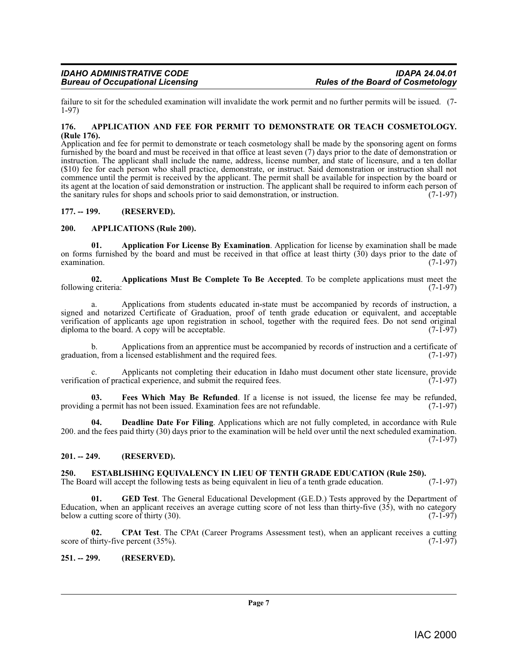failure to sit for the scheduled examination will invalidate the work permit and no further permits will be issued. (7- 1-97)

#### <span id="page-6-6"></span><span id="page-6-0"></span>**176. APPLICATION AND FEE FOR PERMIT TO DEMONSTRATE OR TEACH COSMETOLOGY. (Rule 176).**

Application and fee for permit to demonstrate or teach cosmetology shall be made by the sponsoring agent on forms furnished by the board and must be received in that office at least seven (7) days prior to the date of demonstration or instruction. The applicant shall include the name, address, license number, and state of licensure, and a ten dollar (\$10) fee for each person who shall practice, demonstrate, or instruct. Said demonstration or instruction shall not commence until the permit is received by the applicant. The permit shall be available for inspection by the board or its agent at the location of said demonstration or instruction. The applicant shall be required to inform each person of the sanitary rules for shops and schools prior to said demonstration, or instruction. (7-1-97) the sanitary rules for shops and schools prior to said demonstration, or instruction.

#### <span id="page-6-1"></span>**177. -- 199. (RESERVED).**

#### <span id="page-6-8"></span><span id="page-6-2"></span>**200. APPLICATIONS (Rule 200).**

<span id="page-6-7"></span>**01. Application For License By Examination**. Application for license by examination shall be made on forms furnished by the board and must be received in that office at least thirty (30) days prior to the date of examination.  $(7-1-97)$ examination.  $(7-1-97)$ 

<span id="page-6-9"></span>**02.** Applications Must Be Complete To Be Accepted. To be complete applications must meet the oriteria: (7-1-97) following criteria:

a. Applications from students educated in-state must be accompanied by records of instruction, a signed and notarized Certificate of Graduation, proof of tenth grade education or equivalent, and acceptable verification of applicants age upon registration in school, together with the required fees. Do not send original diploma to the board. A copy will be acceptable. (7-1-97) diploma to the board. A copy will be acceptable.

Applications from an apprentice must be accompanied by records of instruction and a certificate of a licensed establishment and the required fees. (7-1-97) graduation, from a licensed establishment and the required fees.

Applicants not completing their education in Idaho must document other state licensure, provide verification of practical experience, and submit the required fees. (7-1-97)

<span id="page-6-13"></span>**03. Fees Which May Be Refunded**. If a license is not issued, the license fee may be refunded, providing a permit has not been issued. Examination fees are not refundable. (7-1-97)

<span id="page-6-11"></span>**04. Deadline Date For Filing**. Applications which are not fully completed, in accordance with Rule 200. and the fees paid thirty (30) days prior to the examination will be held over until the next scheduled examination.  $(7-1-97)$ 

### <span id="page-6-3"></span>**201. -- 249. (RESERVED).**

# <span id="page-6-12"></span><span id="page-6-4"></span>**250. ESTABLISHING EQUIVALENCY IN LIEU OF TENTH GRADE EDUCATION (Rule 250).** The Board will accept the following tests as being equivalent in lieu of a tenth grade education. (7-1-97)

The Board will accept the following tests as being equivalent in lieu of a tenth grade education.

<span id="page-6-14"></span>**GED Test**. The General Educational Development (G.E.D.) Tests approved by the Department of Education, when an applicant receives an average cutting score of not less than thirty-five  $(35)$ , with no category below a cutting score of thirty  $(30)$ .  $(7-1-97)$ below a cutting score of thirty  $(30)$ .

<span id="page-6-10"></span>**02. CPAt Test**. The CPAt (Career Programs Assessment test), when an applicant receives a cutting score of thirty-five percent  $(35\%)$ .  $(7-1-97)$ 

### <span id="page-6-5"></span>**251. -- 299. (RESERVED).**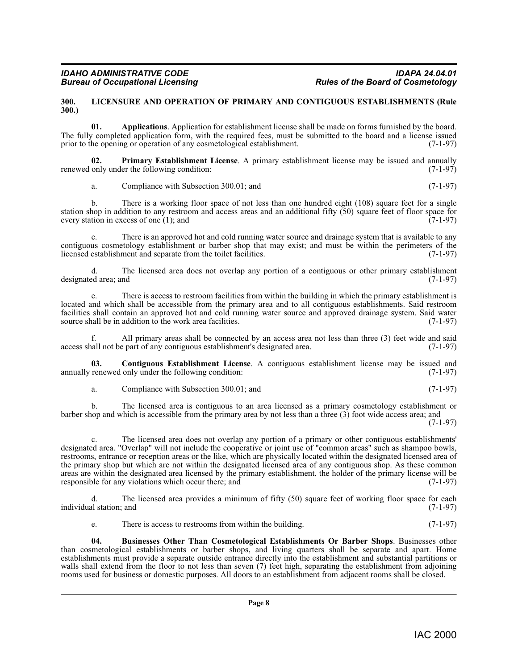#### <span id="page-7-4"></span><span id="page-7-0"></span>**300. LICENSURE AND OPERATION OF PRIMARY AND CONTIGUOUS ESTABLISHMENTS (Rule 300.)**

<span id="page-7-1"></span>**01. Applications**. Application for establishment license shall be made on forms furnished by the board. The fully completed application form, with the required fees, must be submitted to the board and a license issued prior to the opening or operation of any cosmetological establishment. (7-1-97)

**02.** Primary Establishment License. A primary establishment license may be issued and annually only under the following condition: (7-1-97) renewed only under the following condition:

<span id="page-7-5"></span>a. Compliance with Subsection 300.01; and (7-1-97)

b. There is a working floor space of not less than one hundred eight (108) square feet for a single station shop in addition to any restroom and access areas and an additional fifty (50) square feet of floor space for every station in excess of one (1); and  $(7-1-97)$ 

c. There is an approved hot and cold running water source and drainage system that is available to any contiguous cosmetology establishment or barber shop that may exist; and must be within the perimeters of the licensed establishment and separate from the toilet facilities. (7-1-97)

d. The licensed area does not overlap any portion of a contiguous or other primary establishment ed area: and (7-1-97) designated area; and

e. There is access to restroom facilities from within the building in which the primary establishment is located and which shall be accessible from the primary area and to all contiguous establishments. Said restroom facilities shall contain an approved hot and cold running water source and approved drainage system. Said water source shall be in addition to the work area facilities. (7-1-97) source shall be in addition to the work area facilities.

All primary areas shall be connected by an access area not less than three (3) feet wide and said access shall not be part of any contiguous establishment's designated area. (7-1-97)

**03.** Contiguous Establishment License. A contiguous establishment license may be issued and renewed only under the following condition: (7-1-97) annually renewed only under the following condition:

<span id="page-7-3"></span>a. Compliance with Subsection 300.01; and (7-1-97)

b. The licensed area is contiguous to an area licensed as a primary cosmetology establishment or barber shop and which is accessible from the primary area by not less than a three (3) foot wide access area; and

(7-1-97)

c. The licensed area does not overlap any portion of a primary or other contiguous establishments' designated area. "Overlap" will not include the cooperative or joint use of "common areas" such as shampoo bowls, restrooms, entrance or reception areas or the like, which are physically located within the designated licensed area of the primary shop but which are not within the designated licensed area of any contiguous shop. As these common areas are within the designated area licensed by the primary establishment, the holder of the primary license will be responsible for any violations which occur there: and (7-1-97) responsible for any violations which occur there; and

The licensed area provides a minimum of fifty  $(50)$  square feet of working floor space for each individual station; and (7-1-97)

<span id="page-7-2"></span>e. There is access to restrooms from within the building. (7-1-97)

**04. Businesses Other Than Cosmetological Establishments Or Barber Shops**. Businesses other than cosmetological establishments or barber shops, and living quarters shall be separate and apart. Home establishments must provide a separate outside entrance directly into the establishment and substantial partitions or walls shall extend from the floor to not less than seven (7) feet high, separating the establishment from adjoining rooms used for business or domestic purposes. All doors to an establishment from adjacent rooms shall be closed.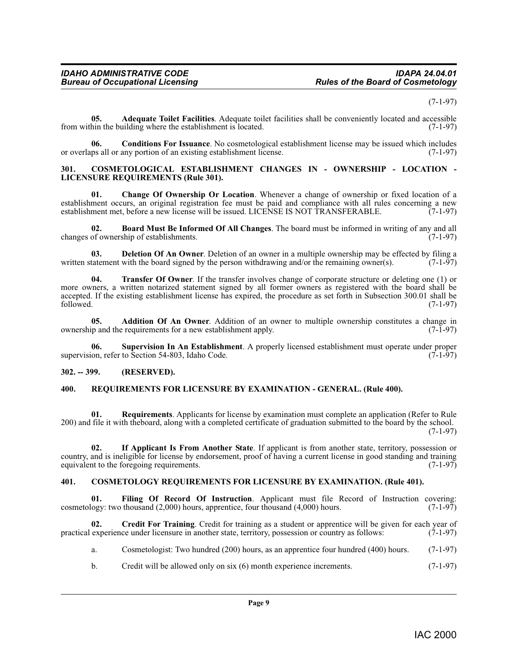#### $(7-1-97)$

<span id="page-8-5"></span>**05. Adequate Toilet Facilities**. Adequate toilet facilities shall be conveniently located and accessible from within the building where the establishment is located. (7-1-97)

<span id="page-8-8"></span>**06.** Conditions For Issuance. No cosmetological establishment license may be issued which includes ups all or any portion of an existing establishment license. (7-1-97) or overlaps all or any portion of an existing establishment license.

#### <span id="page-8-9"></span><span id="page-8-0"></span>**301. COSMETOLOGICAL ESTABLISHMENT CHANGES IN - OWNERSHIP - LOCATION - LICENSURE REQUIREMENTS (Rule 301).**

<span id="page-8-7"></span>**01. Change Of Ownership Or Location**. Whenever a change of ownership or fixed location of a establishment occurs, an original registration fee must be paid and compliance with all rules concerning a new<br>establishment met, before a new license will be issued. LICENSE IS NOT TRANSFERABLE. (7-1-97) establishment met, before a new license will be issued. LICENSE IS NOT TRANSFERABLE.

<span id="page-8-6"></span>**02. Board Must Be Informed Of All Changes**. The board must be informed in writing of any and all changes of ownership of establishments.

<span id="page-8-12"></span>**03. Deletion Of An Owner**. Deletion of an owner in a multiple ownership may be effected by filing a tatement with the board signed by the person withdrawing and/or the remaining owner(s). (7-1-97) written statement with the board signed by the person withdrawing and/or the remaining owner(s).

<span id="page-8-17"></span>**04. Transfer Of Owner**. If the transfer involves change of corporate structure or deleting one (1) or more owners, a written notarized statement signed by all former owners as registered with the board shall be accepted. If the existing establishment license has expired, the procedure as set forth in Subsection 300.01 shall be followed. (7-1-97) followed.  $(7-1-97)$ 

<span id="page-8-4"></span>**05. Addition Of An Owner**. Addition of an owner to multiple ownership constitutes a change in ip and the requirements for a new establishment apply. (7-1-97) ownership and the requirements for a new establishment apply.

<span id="page-8-16"></span>**06. Supervision In An Establishment**. A properly licensed establishment must operate under proper supervision, refer to Section 54-803, Idaho Code.

#### <span id="page-8-1"></span>**302. -- 399. (RESERVED).**

#### <span id="page-8-15"></span><span id="page-8-2"></span>**400. REQUIREMENTS FOR LICENSURE BY EXAMINATION - GENERAL. (Rule 400).**

**01. Requirements**. Applicants for license by examination must complete an application (Refer to Rule 200) and file it with theboard, along with a completed certificate of graduation submitted to the board by the school. (7-1-97)

<span id="page-8-14"></span>**02. If Applicant Is From Another State**. If applicant is from another state, territory, possession or country, and is ineligible for license by endorsement, proof of having a current license in good standing and training equivalent to the foregoing requirements. (7-1-97) equivalent to the foregoing requirements.

#### <span id="page-8-10"></span><span id="page-8-3"></span>**401. COSMETOLOGY REQUIREMENTS FOR LICENSURE BY EXAMINATION. (Rule 401).**

<span id="page-8-13"></span>**01. Filing Of Record Of Instruction**. Applicant must file Record of Instruction covering: cosmetology: two thousand  $(2,000)$  hours, apprentice, four thousand  $(4,000)$  hours.  $(7-1-97)$ 

**02. Credit For Training**. Credit for training as a student or apprentice will be given for each year of practical experience under licensure in another state, territory, possession or country as follows: (7-1-97)

- <span id="page-8-11"></span>a. Cosmetologist: Two hundred (200) hours, as an apprentice four hundred (400) hours. (7-1-97)
- b. Credit will be allowed only on six (6) month experience increments. (7-1-97)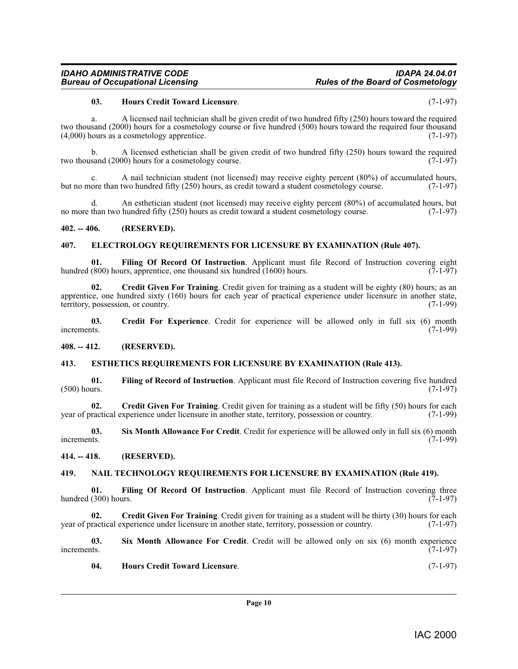#### <span id="page-9-15"></span>**03. Hours Credit Toward Licensure**. (7-1-97)

a. A licensed nail technician shall be given credit of two hundred fifty (250) hours toward the required two thousand (2000) hours for a cosmetology course or five hundred (500) hours toward the required four thousand (4,000) hours as a cosmetology apprentice.  $(7-1-97)$  $(4,000)$  hours as a cosmetology apprentice.

b. A licensed esthetician shall be given credit of two hundred fifty (250) hours toward the required stand (2000) hours for a cosmetology course. two thousand  $(2000)$  hours for a cosmetology course.

A nail technician student (not licensed) may receive eighty percent  $(80\%)$  of accumulated hours, two hundred fifty  $(250)$  hours, as credit toward a student cosmetology course.  $(7-1-97)$ but no more than two hundred fifty (250) hours, as credit toward a student cosmetology course.

d. An esthetician student (not licensed) may receive eighty percent (80%) of accumulated hours, but than two hundred fifty (250) hours as credit toward a student cosmetology course. (7-1-97) no more than two hundred fifty  $(250)$  hours as credit toward a student cosmetology course.

#### <span id="page-9-0"></span>**402. -- 406. (RESERVED).**

#### <span id="page-9-10"></span><span id="page-9-1"></span>**407. ELECTROLOGY REQUIREMENTS FOR LICENSURE BY EXAMINATION (Rule 407).**

<span id="page-9-12"></span>**01.** Filing Of Record Of Instruction. Applicant must file Record of Instruction covering eight (800) hours, apprentice, one thousand six hundred (1600) hours. (7-1-97) hundred (800) hours, apprentice, one thousand six hundred  $(1600)$  hours.

<span id="page-9-7"></span>**02. Credit Given For Training**. Credit given for training as a student will be eighty (80) hours; as an apprentice, one hundred sixty (160) hours for each year of practical experience under licensure in another state, territory, possession, or country. (7-1-99)

<span id="page-9-6"></span>**03.** Credit For Experience. Credit for experience will be allowed only in full six (6) month increments. (7-1-99) increments. (7-1-99)

<span id="page-9-2"></span>**408. -- 412. (RESERVED).**

#### <span id="page-9-11"></span><span id="page-9-3"></span>**413. ESTHETICS REQUIREMENTS FOR LICENSURE BY EXAMINATION (Rule 413).**

<span id="page-9-14"></span>**01.** Filing of Record of Instruction. Applicant must file Record of Instruction covering five hundred (500) hours. (7-1-97)  $(500)$  hours.  $(7-1-97)$ 

<span id="page-9-8"></span>**02.** Credit Given For Training. Credit given for training as a student will be fifty (50) hours for each ractical experience under licensure in another state, territory, possession or country. (7-1-99) year of practical experience under licensure in another state, territory, possession or country.

<span id="page-9-18"></span>**03.** Six Month Allowance For Credit. Credit for experience will be allowed only in full six (6) month increments. (7-1-99) increments. (7-1-99)

<span id="page-9-4"></span>**414. -- 418. (RESERVED).**

#### <span id="page-9-17"></span><span id="page-9-5"></span>**419. NAIL TECHNOLOGY REQUIREMENTS FOR LICENSURE BY EXAMINATION (Rule 419).**

<span id="page-9-13"></span>**01. Filing Of Record Of Instruction**. Applicant must file Record of Instruction covering three hundred (300) hours. (7-1-97)

<span id="page-9-9"></span>**02.** Credit Given For Training. Credit given for training as a student will be thirty (30) hours for each ractical experience under licensure in another state, territory, possession or country. (7-1-97) year of practical experience under licensure in another state, territory, possession or country.

**03.** Six Month Allowance For Credit. Credit will be allowed only on six (6) month experience increments. (7-1-97) increments.  $(7-1-97)$ 

<span id="page-9-19"></span><span id="page-9-16"></span>**04. Hours Credit Toward Licensure**. (7-1-97)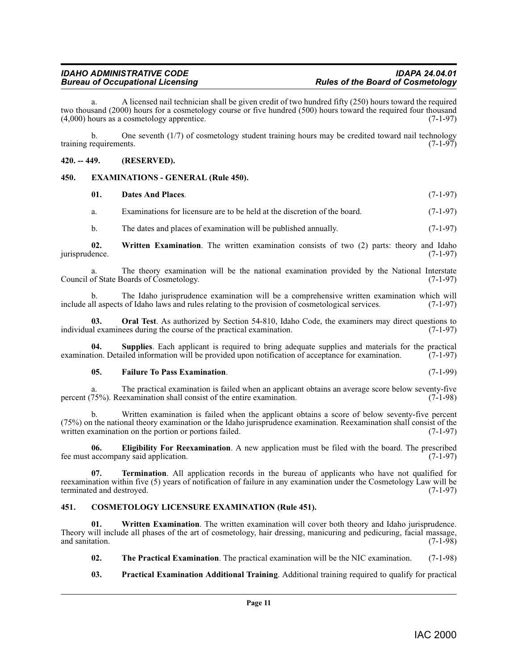a. A licensed nail technician shall be given credit of two hundred fifty (250) hours toward the required two thousand (2000) hours for a cosmetology course or five hundred (500) hours toward the required four thousand  $(4,000)$  hours as a cosmetology apprentice.  $(7-1-97)$ 

b. One seventh (1/7) of cosmetology student training hours may be credited toward nail technology training requirements. (7-1-97)

#### <span id="page-10-0"></span>**420. -- 449. (RESERVED).**

#### <span id="page-10-1"></span>**450. EXAMINATIONS - GENERAL (Rule 450).**

<span id="page-10-13"></span><span id="page-10-6"></span><span id="page-10-4"></span>

| -01. | Dates And Places.                                                                        | $(7-1-97)$ |
|------|------------------------------------------------------------------------------------------|------------|
| а.   | Examinations for licensure are to be held at the discretion of the board.                | $(7-1-97)$ |
| b.   | The dates and places of examination will be published annually.                          | $(7-1-97)$ |
| - 02 | Written Examination. The written examination consists of two (2) parts: theory and Idaho |            |

**02. Written Examination**. The written examination consists of two (2) parts: theory and Idaho jurisprudence. (7-1-97)

The theory examination will be the national examination provided by the National Interstate  $\delta$ oards of Cosmetology. (7-1-97) Council of State Boards of Cosmetology.

b. The Idaho jurisprudence examination will be a comprehensive written examination which will include all aspects of Idaho laws and rules relating to the provision of cosmetological services. (7-1-97)

<span id="page-10-8"></span>**03. Oral Test**. As authorized by Section 54-810, Idaho Code, the examiners may direct questions to al examinees during the course of the practical examination. (7-1-97) individual examinees during the course of the practical examination.

**04. Supplies**. Each applicant is required to bring adequate supplies and materials for the practical examination. Detailed information will be provided upon notification of acceptance for examination. (7-1-97)

#### <span id="page-10-10"></span><span id="page-10-7"></span>**05. Failure To Pass Examination**. (7-1-99)

a. The practical examination is failed when an applicant obtains an average score below seventy-five 75%). Reexamination shall consist of the entire examination. (7-1-98) percent  $(75%)$ . Reexamination shall consist of the entire examination.

b. Written examination is failed when the applicant obtains a score of below seventy-five percent  $(75%)$  on the national theory examination or the Idaho jurisprudence examination. Reexamination shall consist of the written examination on the portion or portions failed.  $(7-1-97)$ written examination on the portion or portions failed.

<span id="page-10-5"></span>**06. Eligibility For Reexamination**. A new application must be filed with the board. The prescribed fee must accompany said application. (7-1-97)

<span id="page-10-11"></span>**07. Termination**. All application records in the bureau of applicants who have not qualified for reexamination within five (5) years of notification of failure in any examination under the Cosmetology Law will be terminated and destroyed.

### <span id="page-10-3"></span><span id="page-10-2"></span>**451. COSMETOLOGY LICENSURE EXAMINATION (Rule 451).**

**01.** Written Examination. The written examination will cover both theory and Idaho jurisprudence. Theory will include all phases of the art of cosmetology, hair dressing, manicuring and pedicuring, facial massage, and sanitation. (7-1-98)

- <span id="page-10-14"></span><span id="page-10-12"></span>**02. The Practical Examination**. The practical examination will be the NIC examination. (7-1-98)
- <span id="page-10-9"></span>**03. Practical Examination Additional Training**. Additional training required to qualify for practical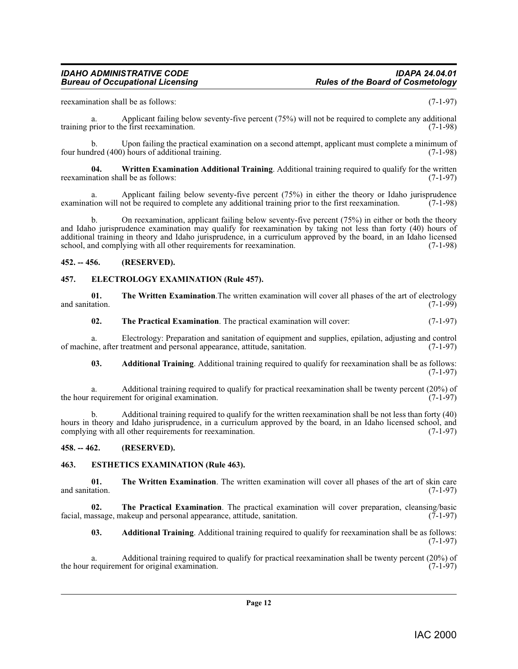reexamination shall be as follows: (7-1-97)

a. Applicant failing below seventy-five percent (75%) will not be required to complete any additional training prior to the first reexamination. (7-1-98)

b. Upon failing the practical examination on a second attempt, applicant must complete a minimum of dred (400) hours of additional training. four hundred  $(400)$  hours of additional training.

<span id="page-11-7"></span>**04. Written Examination Additional Training**. Additional training required to qualify for the written reexamination shall be as follows: (7-1-97)

a. Applicant failing below seventy-five percent (75%) in either the theory or Idaho jurisprudence<br>tion will not be required to complete any additional training prior to the first reexamination. (7-1-98) examination will not be required to complete any additional training prior to the first reexamination.

b. On reexamination, applicant failing below seventy-five percent (75%) in either or both the theory and Idaho jurisprudence examination may qualify for reexamination by taking not less than forty (40) hours of additional training in theory and Idaho jurisprudence, in a curriculum approved by the board, in an Idaho licensed school, and complying with all other requirements for reexamination. (7-1-98) school, and complying with all other requirements for reexamination.

#### <span id="page-11-0"></span>**452. -- 456. (RESERVED).**

#### <span id="page-11-4"></span><span id="page-11-1"></span>**457. ELECTROLOGY EXAMINATION (Rule 457).**

**01.** The Written Examination. The written examination will cover all phases of the art of electrology ration. and sanitation.

<span id="page-11-6"></span>**02.** The Practical Examination. The practical examination will cover:  $(7-1-97)$ 

a. Electrology: Preparation and sanitation of equipment and supplies, epilation, adjusting and control of machine, after treatment and personal appearance, attitude, sanitation.

**03. Additional Training**. Additional training required to qualify for reexamination shall be as follows: (7-1-97)

a. Additional training required to qualify for practical reexamination shall be twenty percent (20%) of requirement for original examination. (7-1-97) the hour requirement for original examination.

b. Additional training required to qualify for the written reexamination shall be not less than forty (40) hours in theory and Idaho jurisprudence, in a curriculum approved by the board, in an Idaho licensed school, and complying with all other requirements for reexamination. (7-1-97) complying with all other requirements for reexamination.

#### <span id="page-11-2"></span>**458. -- 462. (RESERVED).**

#### <span id="page-11-5"></span><span id="page-11-3"></span>**463. ESTHETICS EXAMINATION (Rule 463).**

**01.** The Written Examination. The written examination will cover all phases of the art of skin care and sanitation. (7-1-97) and sanitation. (7-1-97)

**02. The Practical Examination**. The practical examination will cover preparation, cleansing/basic assage, makeup and personal appearance, attitude, sanitation. (7-1-97) facial, massage, makeup and personal appearance, attitude, sanitation.

**03. Additional Training**. Additional training required to qualify for reexamination shall be as follows: (7-1-97)

a. Additional training required to qualify for practical reexamination shall be twenty percent (20%) of requirement for original examination. (7-1-97) the hour requirement for original examination.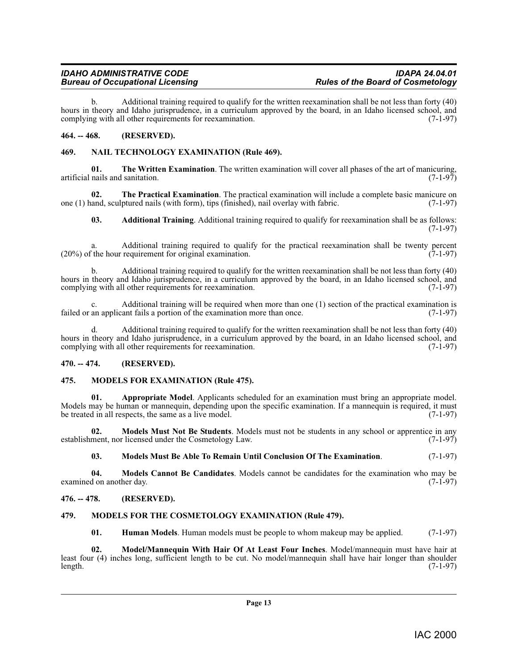b. Additional training required to qualify for the written reexamination shall be not less than forty (40) hours in theory and Idaho jurisprudence, in a curriculum approved by the board, in an Idaho licensed school, and complying with all other requirements for reexamination. (7-1-97) complying with all other requirements for reexamination.

### <span id="page-12-0"></span>**464. -- 468. (RESERVED).**

### <span id="page-12-14"></span><span id="page-12-1"></span>**469. NAIL TECHNOLOGY EXAMINATION (Rule 469).**

**01. The Written Examination**. The written examination will cover all phases of the art of manicuring, artificial nails and sanitation.  $(7-1-97)$ 

**02. The Practical Examination**. The practical examination will include a complete basic manicure on and, sculptured nails (with form), tips (finished), nail overlay with fabric. (7-1-97) one  $(1)$  hand, sculptured nails (with form), tips (finished), nail overlay with fabric.

**03. Additional Training**. Additional training required to qualify for reexamination shall be as follows: (7-1-97)

a. Additional training required to qualify for the practical reexamination shall be twenty percent (20%) of the hour requirement for original examination. (7-1-97)

b. Additional training required to qualify for the written reexamination shall be not less than forty (40) hours in theory and Idaho jurisprudence, in a curriculum approved by the board, in an Idaho licensed school, and complying with all other requirements for reexamination. (7-1-97) complying with all other requirements for reexamination.

c. Additional training will be required when more than one  $(1)$  section of the practical examination is an applicant fails a portion of the examination more than once.  $(7-1-97)$ failed or an applicant fails a portion of the examination more than once.

d. Additional training required to qualify for the written reexamination shall be not less than forty (40) hours in theory and Idaho jurisprudence, in a curriculum approved by the board, in an Idaho licensed school, and complying with all other requirements for reexamination. (7-1-97) complying with all other requirements for reexamination.

### <span id="page-12-2"></span>**470. -- 474. (RESERVED).**

### <span id="page-12-10"></span><span id="page-12-3"></span>**475. MODELS FOR EXAMINATION (Rule 475).**

<span id="page-12-6"></span>**01. Appropriate Model**. Applicants scheduled for an examination must bring an appropriate model. Models may be human or mannequin, depending upon the specific examination. If a mannequin is required, it must<br>be treated in all respects, the same as a live model. (7-1-97) be treated in all respects, the same as a live model.

**02. Models Must Not Be Students**. Models must not be students in any school or apprentice in any ment. nor licensed under the Cosmetology Law. (7-1-97) establishment, nor licensed under the Cosmetology Law.

<span id="page-12-13"></span><span id="page-12-12"></span><span id="page-12-9"></span>**03. Models Must Be Able To Remain Until Conclusion Of The Examination**. (7-1-97)

**04. Models Cannot Be Candidates**. Models cannot be candidates for the examination who may be d on another day. (7-1-97) examined on another day.

### <span id="page-12-4"></span>**476. -- 478. (RESERVED).**

## <span id="page-12-5"></span>**479. MODELS FOR THE COSMETOLOGY EXAMINATION (Rule 479).**

<span id="page-12-11"></span><span id="page-12-8"></span><span id="page-12-7"></span>**01. Human Models**. Human models must be people to whom makeup may be applied. (7-1-97)

**02. Model/Mannequin With Hair Of At Least Four Inches**. Model/mannequin must have hair at least four (4) inches long, sufficient length to be cut. No model/mannequin shall have hair longer than shoulder length. (7-1-97) length. (7-1-97)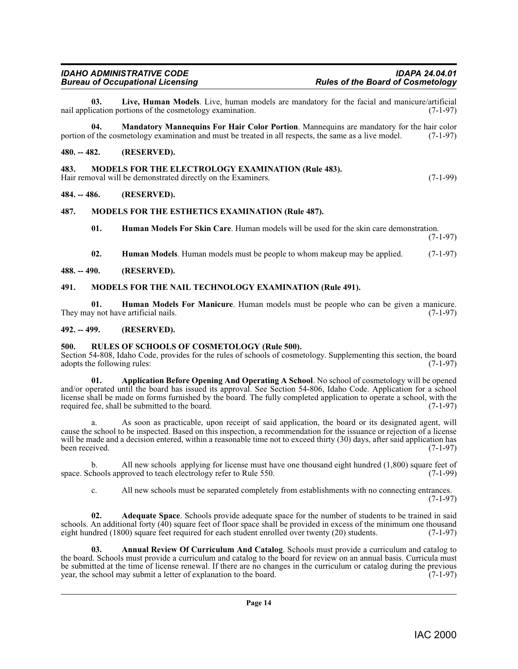# **Bureau of Occupational Licensing**

<span id="page-13-14"></span>**03.** Live, Human Models. Live, human models are mandatory for the facial and manicure/artificial incation portions of the cosmetology examination. (7-1-97) nail application portions of the cosmetology examination.

<span id="page-13-15"></span>**04. Mandatory Mannequins For Hair Color Portion**. Mannequins are mandatory for the hair color of the cosmetology examination and must be treated in all respects, the same as a live model. (7-1-97) portion of the cosmetology examination and must be treated in all respects, the same as a live model.

#### <span id="page-13-0"></span>**480. -- 482. (RESERVED).**

<span id="page-13-16"></span><span id="page-13-1"></span>**483. MODELS FOR THE ELECTROLOGY EXAMINATION (Rule 483).**  Hair removal will be demonstrated directly on the Examiners. (7-1-99)

#### <span id="page-13-2"></span>**484. -- 486. (RESERVED).**

### <span id="page-13-3"></span>**487. MODELS FOR THE ESTHETICS EXAMINATION (Rule 487).**

<span id="page-13-17"></span><span id="page-13-12"></span>**01. Human Models For Skin Care**. Human models will be used for the skin care demonstration.

(7-1-97)

<span id="page-13-18"></span><span id="page-13-13"></span><span id="page-13-11"></span>**02. Human Models**. Human models must be people to whom makeup may be applied. (7-1-97)

#### <span id="page-13-4"></span>**488. -- 490. (RESERVED).**

#### <span id="page-13-5"></span>**491. MODELS FOR THE NAIL TECHNOLOGY EXAMINATION (Rule 491).**

**01. Human Models For Manicure**. Human models must be people who can be given a manicure. They may not have artificial nails.

#### <span id="page-13-6"></span>**492. -- 499. (RESERVED).**

#### <span id="page-13-19"></span><span id="page-13-7"></span>**500. RULES OF SCHOOLS OF COSMETOLOGY (Rule 500).**

Section 54-808, Idaho Code, provides for the rules of schools of cosmetology. Supplementing this section, the board adopts the following rules: (7-1-97) adopts the following rules:

<span id="page-13-10"></span>**01. Application Before Opening And Operating A School**. No school of cosmetology will be opened and/or operated until the board has issued its approval. See Section 54-806, Idaho Code. Application for a school license shall be made on forms furnished by the board. The fully completed application to operate a school, with the required fee, shall be submitted to the board. (7-1-97)

As soon as practicable, upon receipt of said application, the board or its designated agent, will cause the school to be inspected. Based on this inspection, a recommendation for the issuance or rejection of a license will be made and a decision entered, within a reasonable time not to exceed thirty (30) days, after said application has been received. (7-1-97) been received. (7-1-97)

b. All new schools applying for license must have one thousand eight hundred (1,800) square feet of chools approved to teach electrology refer to Rule 550. space. Schools approved to teach electrology refer to Rule 550.

<span id="page-13-9"></span><span id="page-13-8"></span>c. All new schools must be separated completely from establishments with no connecting entrances.  $(7-1-97)$ 

**02. Adequate Space**. Schools provide adequate space for the number of students to be trained in said schools. An additional forty (40) square feet of floor space shall be provided in excess of the minimum one thousand eight hundred (1800) square feet required for each student enrolled over twenty (20) students. (7-1-97)

**03. Annual Review Of Curriculum And Catalog**. Schools must provide a curriculum and catalog to the board. Schools must provide a curriculum and catalog to the board for review on an annual basis. Curricula must be submitted at the time of license renewal. If there are no changes in the curriculum or catalog during the previous year, the school may submit a letter of explanation to the board. (7-1-97) year, the school may submit a letter of explanation to the board.

# *IDAHO ADMINISTRATIVE CODE IDAPA 24.04.01*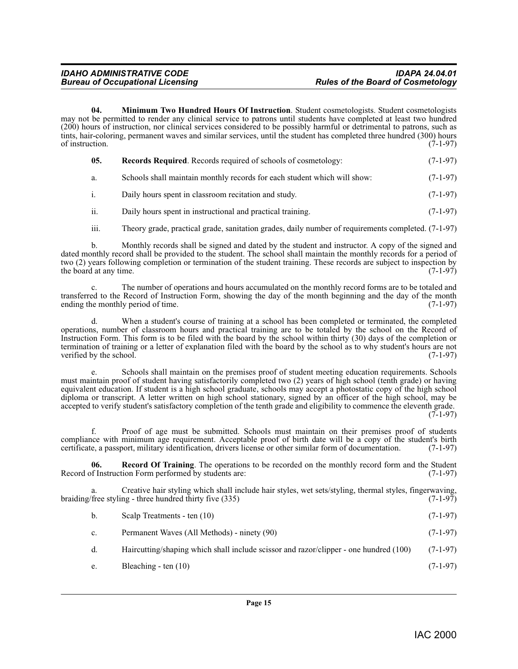<span id="page-14-0"></span>**04. Minimum Two Hundred Hours Of Instruction**. Student cosmetologists. Student cosmetologists may not be permitted to render any clinical service to patrons until students have completed at least two hundred (200) hours of instruction, nor clinical services considered to be possibly harmful or detrimental to patrons, such as tints, hair-coloring, permanent waves and similar services, until the student has completed three hundred (300) hours of instruction.  $(7-1-97)$ 

<span id="page-14-2"></span>

| 05.          | <b>Records Required.</b> Records required of schools of cosmetology:     | $(7-1-97)$ |
|--------------|--------------------------------------------------------------------------|------------|
| а.           | Schools shall maintain monthly records for each student which will show: | $(7-1-97)$ |
| <sup>1</sup> | Daily hours spent in classroom recitation and study.                     | $(7-1-97)$ |
|              | Daily hours spent in instructional and practical training.               | $(7-1-97)$ |

iii. Theory grade, practical grade, sanitation grades, daily number of requirements completed. (7-1-97)

b. Monthly records shall be signed and dated by the student and instructor. A copy of the signed and dated monthly record shall be provided to the student. The school shall maintain the monthly records for a period of two (2) years following completion or termination of the student training. These records are subject to inspection by the board at any time. the board at any time.

c. The number of operations and hours accumulated on the monthly record forms are to be totaled and transferred to the Record of Instruction Form, showing the day of the month beginning and the day of the month ending the monthly period of time. (7-1-97)

d. When a student's course of training at a school has been completed or terminated, the completed operations, number of classroom hours and practical training are to be totaled by the school on the Record of Instruction Form. This form is to be filed with the board by the school within thirty (30) days of the completion or termination of training or a letter of explanation filed with the board by the school as to why student's hours are not verified by the school.

Schools shall maintain on the premises proof of student meeting education requirements. Schools must maintain proof of student having satisfactorily completed two (2) years of high school (tenth grade) or having equivalent education. If student is a high school graduate, schools may accept a photostatic copy of the high school diploma or transcript. A letter written on high school stationary, signed by an officer of the high school, may be accepted to verify student's satisfactory completion of the tenth grade and eligibility to commence the eleventh grade.  $(7-1-97)$ 

f. Proof of age must be submitted. Schools must maintain on their premises proof of students compliance with minimum age requirement. Acceptable proof of birth date will be a copy of the student's birth certificate, a passport, military identification, drivers license or other similar form of documentation. (7-1-97)

<span id="page-14-1"></span>**06. Record Of Training**. The operations to be recorded on the monthly record form and the Student of Instruction Form performed by students are: (7-1-97) Record of Instruction Form performed by students are:

a. Creative hair styling which shall include hair styles, wet sets/styling, thermal styles, fingerwaving, braiding/free styling - three hundred thirty five (335) (7-1-97)

| Scalp Treatments - ten (10) | $(7-1-97)$ |
|-----------------------------|------------|
|                             |            |

- c. Permanent Waves (All Methods) ninety (90) (7-1-97)
- d. Haircutting/shaping which shall include scissor and razor/clipper one hundred (100) (7-1-97)
- e. Bleaching ten  $(10)$  (7-1-97)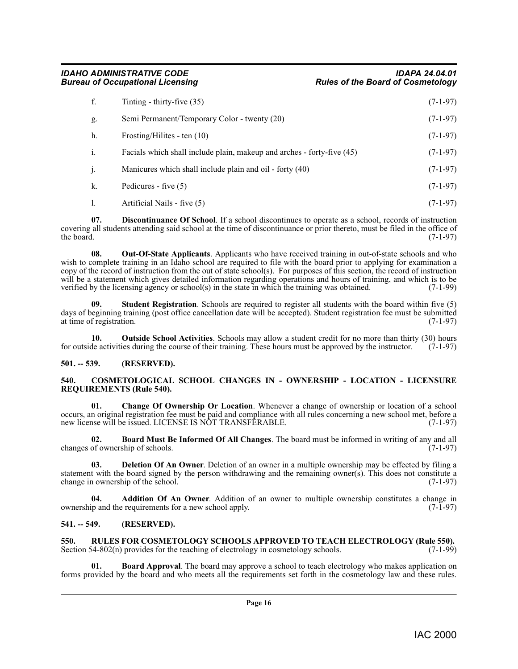| f.           | Tinting - thirty-five $(35)$                                           | $(7-1-97)$ |
|--------------|------------------------------------------------------------------------|------------|
| g.           | Semi Permanent/Temporary Color - twenty (20)                           | $(7-1-97)$ |
| h.           | Frosting/Hilites - ten $(10)$                                          | $(7-1-97)$ |
| i.           | Facials which shall include plain, makeup and arches - forty-five (45) | $(7-1-97)$ |
| $\mathbf{1}$ | Manicures which shall include plain and oil - forty (40)               | $(7-1-97)$ |
| k.           | Pedicures - five $(5)$                                                 | $(7-1-97)$ |
|              | Artificial Nails - five (5)                                            | $(7-1-97)$ |

<span id="page-15-10"></span>**07. Discontinuance Of School**. If a school discontinues to operate as a school, records of instruction covering all students attending said school at the time of discontinuance or prior thereto, must be filed in the office of the board. (7-1-97) the board.  $(7-1-97)$ 

<span id="page-15-11"></span>**08. Out-Of-State Applicants**. Applicants who have received training in out-of-state schools and who wish to complete training in an Idaho school are required to file with the board prior to applying for examination a copy of the record of instruction from the out of state school(s). For purposes of this section, the record of instruction will be a statement which gives detailed information regarding operations and hours of training, and which is to be verified by the licensing agency or school(s) in the state in which the training was obtained.  $(7-1-99)$ verified by the licensing agency or school(s) in the state in which the training was obtained.

<span id="page-15-14"></span>**Student Registration**. Schools are required to register all students with the board within five (5) days of beginning training (post office cancellation date will be accepted). Student registration fee must be submitted at time of registration. (7-1-97) at time of registration.

<span id="page-15-12"></span>**10. Outside School Activities**. Schools may allow a student credit for no more than thirty (30) hours de activities during the course of their training. These hours must be approved by the instructor. (7-1-97) for outside activities during the course of their training. These hours must be approved by the instructor.

## <span id="page-15-0"></span>**501. -- 539. (RESERVED).**

#### <span id="page-15-8"></span><span id="page-15-1"></span>**540. COSMETOLOGICAL SCHOOL CHANGES IN - OWNERSHIP - LOCATION - LICENSURE REQUIREMENTS (Rule 540).**

<span id="page-15-7"></span>**Change Of Ownership Or Location.** Whenever a change of ownership or location of a school occurs, an original registration fee must be paid and compliance with all rules concerning a new school met, before a new license will be issued. LICENSE IS NOT TRANSFERABLE.

<span id="page-15-6"></span>**02. Board Must Be Informed Of All Changes**. The board must be informed in writing of any and all changes of ownership of schools. (7-1-97)

<span id="page-15-9"></span>**03. Deletion Of An Owner**. Deletion of an owner in a multiple ownership may be effected by filing a statement with the board signed by the person withdrawing and the remaining owner(s). This does not constitute a change in ownership of the school.  $(7-1-97)$ change in ownership of the school.

<span id="page-15-4"></span>**Addition Of An Owner**. Addition of an owner to multiple ownership constitutes a change in ownership and the requirements for a new school apply. (7-1-97)

### <span id="page-15-2"></span>**541. -- 549. (RESERVED).**

<span id="page-15-13"></span><span id="page-15-3"></span>**550.** RULES FOR COSMETOLOGY SCHOOLS APPROVED TO TEACH ELECTROLOGY (Rule 550). Section 54-802(n) provides for the teaching of electrology in cosmetology schools. (7-1-99) Section  $54-802(n)$  provides for the teaching of electrology in cosmetology schools.

<span id="page-15-5"></span>**Board Approval.** The board may approve a school to teach electrology who makes application on forms provided by the board and who meets all the requirements set forth in the cosmetology law and these rules.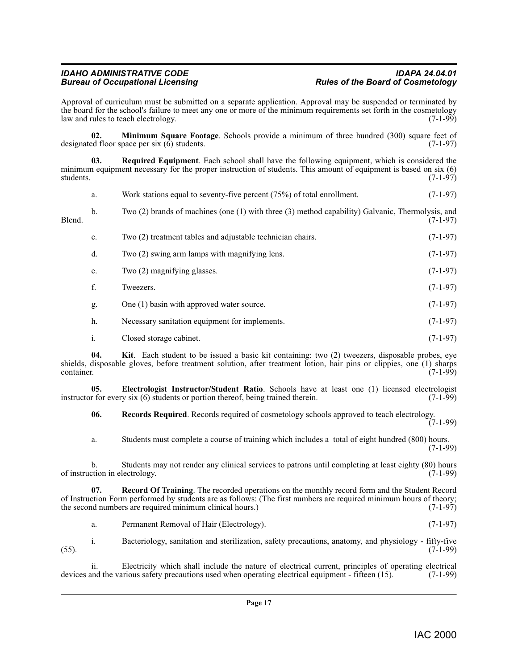Approval of curriculum must be submitted on a separate application. Approval may be suspended or terminated by the board for the school's failure to meet any one or more of the minimum requirements set forth in the cosmetology law and rules to teach electrology. (7-1-99)

<span id="page-16-2"></span>**02. Minimum Square Footage**. Schools provide a minimum of three hundred (300) square feet of designated floor space per six (6) students. (7-1-97)

<span id="page-16-5"></span>**03. Required Equipment**. Each school shall have the following equipment, which is considered the minimum equipment necessary for the proper instruction of students. This amount of equipment is based on six (6) students.  $(7-1-97)$ 

|        | a.             | Work stations equal to seventy-five percent $(75%)$ of total enrollment.                               | $(7-1-97)$ |
|--------|----------------|--------------------------------------------------------------------------------------------------------|------------|
| Blend. | b.             | Two $(2)$ brands of machines (one $(1)$ with three $(3)$ method capability) Galvanic, Thermolysis, and | $(7-1-97)$ |
|        | c.             | Two (2) treatment tables and adjustable technician chairs.                                             | $(7-1-97)$ |
|        | d.             | Two (2) swing arm lamps with magnifying lens.                                                          | $(7-1-97)$ |
|        | e.             | Two (2) magnifying glasses.                                                                            | $(7-1-97)$ |
|        | f.             | Tweezers.                                                                                              | $(7-1-97)$ |
|        | g.             | One (1) basin with approved water source.                                                              | $(7-1-97)$ |
|        | h.             | Necessary sanitation equipment for implements.                                                         | $(7-1-97)$ |
|        | $\mathbf{1}$ . | Closed storage cabinet.                                                                                | $(7-1-97)$ |

<span id="page-16-1"></span>**04. Kit**. Each student to be issued a basic kit containing: two (2) tweezers, disposable probes, eye shields, disposable gloves, before treatment solution, after treatment lotion, hair pins or clippies, one (1) sharps container. (7-1-99) container. (7-1-99)

**05. Electrologist Instructor/Student Ratio**. Schools have at least one (1) licensed electrologist r for every six (6) students or portion thereof, being trained therein. (7-1-99) instructor for every six  $(6)$  students or portion thereof, being trained therein.

<span id="page-16-4"></span><span id="page-16-0"></span>**06. Records Required**. Records required of cosmetology schools approved to teach electrology.

 $(7-1-99)$ 

a. Students must complete a course of training which includes a total of eight hundred (800) hours. (7-1-99)

b. Students may not render any clinical services to patrons until completing at least eighty (80) hours ction in electrology. (7-1-99) of instruction in electrology.

**07. Record Of Training**. The recorded operations on the monthly record form and the Student Record of Instruction Form performed by students are as follows: (The first numbers are required minimum hours of theory; the second numbers are required minimum clinical hours.) (7-1-97) the second numbers are required minimum clinical hours.)

<span id="page-16-3"></span>a. Permanent Removal of Hair (Electrology). (7-1-97)

i. Bacteriology, sanitation and sterilization, safety precautions, anatomy, and physiology - fifty-five (55). (7-1-99)

ii. Electricity which shall include the nature of electrical current, principles of operating electrical and the various safety precautions used when operating electrical equipment - fifteen (15). (7-1-99) devices and the various safety precautions used when operating electrical equipment - fifteen (15).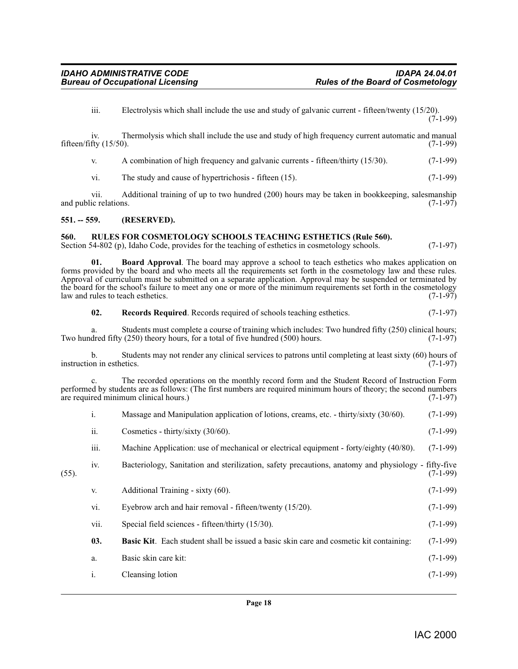iii. Electrolysis which shall include the use and study of galvanic current - fifteen/twenty (15/20).  $(7-1-99)$ 

iv. Thermolysis which shall include the use and study of high frequency current automatic and manual fifteen/fifty (15/50). (7-1-99)

v. A combination of high frequency and galvanic currents - fifteen/thirty (15/30). (7-1-99)

vi. The study and cause of hypertrichosis - fifteen  $(15)$ .  $(7-1-99)$ 

vii. Additional training of up to two hundred (200) hours may be taken in bookkeeping, salesmanship ic relations.  $(7-1-97)$ and public relations.

#### <span id="page-17-0"></span>**551. -- 559. (RESERVED).**

#### <span id="page-17-4"></span><span id="page-17-1"></span>**560. RULES FOR COSMETOLOGY SCHOOLS TEACHING ESTHETICS (Rule 560).**

Section 54-802 (p), Idaho Code, provides for the teaching of esthetics in cosmetology schools. (7-1-97)

<span id="page-17-2"></span>**01. Board Approval**. The board may approve a school to teach esthetics who makes application on forms provided by the board and who meets all the requirements set forth in the cosmetology law and these rules. Approval of curriculum must be submitted on a separate application. Approval may be suspended or terminated by the board for the school's failure to meet any one or more of the minimum requirements set forth in the cosmetology<br>law and rules to teach esthetics. (7-1-97) law and rules to teach esthetics.

<span id="page-17-3"></span>**02. Records Required**. Records required of schools teaching esthetics. (7-1-97)

a. Students must complete a course of training which includes: Two hundred fifty (250) clinical hours;<br>dred fifty (250) theory hours, for a total of five hundred (500) hours. (7-1-97) Two hundred fifty  $(250)$  theory hours, for a total of five hundred  $(500)$  hours.

b. Students may not render any clinical services to patrons until completing at least sixty (60) hours of on in esthetics. (7-1-97) instruction in esthetics.

c. The recorded operations on the monthly record form and the Student Record of Instruction Form performed by students are as follows: (The first numbers are required minimum hours of theory; the second numbers are required minimum clinical hours.) (7-1-97) are required minimum clinical hours.)

|       | i.             | Massage and Manipulation application of lotions, creams, etc. - thirty/sixty (30/60).               | $(7-1-99)$ |
|-------|----------------|-----------------------------------------------------------------------------------------------------|------------|
|       | ii.            | Cosmetics - thirty/sixty $(30/60)$ .                                                                | $(7-1-99)$ |
|       | iii.           | Machine Application: use of mechanical or electrical equipment - forty/eighty (40/80).              | $(7-1-99)$ |
| (55). | iv.            | Bacteriology, Sanitation and sterilization, safety precautions, anatomy and physiology - fifty-five | $(7-1-99)$ |
|       | V.             | Additional Training - sixty (60).                                                                   | $(7-1-99)$ |
|       | vi.            | Eyebrow arch and hair removal - fifteen/twenty (15/20).                                             | $(7-1-99)$ |
|       | vii.           | Special field sciences - fifteen/thirty (15/30).                                                    | $(7-1-99)$ |
|       | 03.            | Basic Kit. Each student shall be issued a basic skin care and cosmetic kit containing:              | $(7-1-99)$ |
|       | a.             | Basic skin care kit:                                                                                | $(7-1-99)$ |
|       | $\mathbf{1}$ . | Cleansing lotion                                                                                    | $(7-1-99)$ |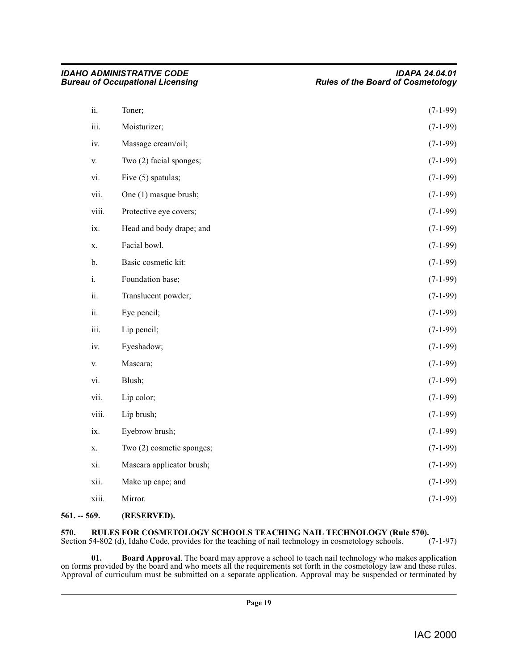|       | Bureau of Occupational Licensing | <b>Rules of the Board of Cosmetology</b> |  |
|-------|----------------------------------|------------------------------------------|--|
| ii.   | Toner;                           | $(7-1-99)$                               |  |
| iii.  | Moisturizer;                     | $(7-1-99)$                               |  |
| iv.   | Massage cream/oil;               | $(7-1-99)$                               |  |
| V.    | Two (2) facial sponges;          | $(7-1-99)$                               |  |
| vi.   | Five (5) spatulas;               | $(7-1-99)$                               |  |
| vii.  | One (1) masque brush;            | $(7-1-99)$                               |  |
| viii. | Protective eye covers;           | $(7-1-99)$                               |  |
| ix.   | Head and body drape; and         | $(7-1-99)$                               |  |
| X.    | Facial bowl.                     | $(7-1-99)$                               |  |
| $b$ . | Basic cosmetic kit:              | $(7-1-99)$                               |  |
| i.    | Foundation base;                 | $(7-1-99)$                               |  |
| ii.   | Translucent powder;              | $(7-1-99)$                               |  |
| ii.   | Eye pencil;                      | $(7-1-99)$                               |  |
| iii.  | Lip pencil;                      | $(7-1-99)$                               |  |
| iv.   | Eyeshadow;                       | $(7-1-99)$                               |  |
| V.    | Mascara;                         | $(7-1-99)$                               |  |
| vi.   | Blush;                           | $(7-1-99)$                               |  |
| vii.  | Lip color;                       | $(7-1-99)$                               |  |
| viii. | Lip brush;                       | $(7-1-99)$                               |  |
| ix.   | Eyebrow brush;                   | $(7-1-99)$                               |  |
| X.    | Two (2) cosmetic sponges;        | $(7-1-99)$                               |  |
| xi.   | Mascara applicator brush;        | $(7-1-99)$                               |  |
| xii.  | Make up cape; and                | $(7-1-99)$                               |  |
| xiii. | Mirror.                          | $(7-1-99)$                               |  |
|       |                                  |                                          |  |

*IDAHO ADMINISTRATIVE CODE IDAPA 24.04.01*

### <span id="page-18-0"></span>**561. -- 569. (RESERVED).**

# <span id="page-18-3"></span><span id="page-18-1"></span>**570.** RULES FOR COSMETOLOGY SCHOOLS TEACHING NAIL TECHNOLOGY (Rule 570).<br>Section 54-802 (d), Idaho Code, provides for the teaching of nail technology in cosmetology schools. (7-1-97)

Section 54-802 (d), Idaho Code, provides for the teaching of nail technology in cosmetology schools.

<span id="page-18-2"></span>**01. Board Approval**. The board may approve a school to teach nail technology who makes application on forms provided by the board and who meets all the requirements set forth in the cosmetology law and these rules. Approval of curriculum must be submitted on a separate application. Approval may be suspended or terminated by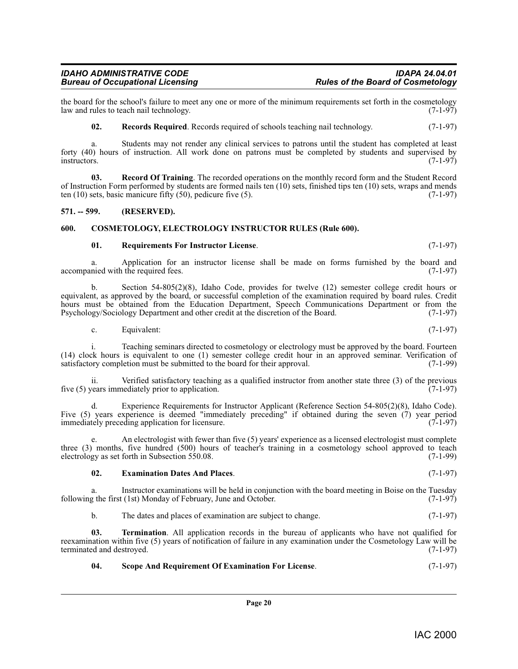the board for the school's failure to meet any one or more of the minimum requirements set forth in the cosmetology<br>(7-1-97) law and rules to teach nail technology. law and rules to teach nail technology.

<span id="page-19-4"></span>**02.** Records Required. Records required of schools teaching nail technology. (7-1-97)

a. Students may not render any clinical services to patrons until the student has completed at least forty (40) hours of instruction. All work done on patrons must be completed by students and supervised by instructors.  $(7-1-97)$ instructors. (7-1-97)

**03. Record Of Training**. The recorded operations on the monthly record form and the Student Record of Instruction Form performed by students are formed nails ten (10) sets, finished tips ten (10) sets, wraps and mends ten  $(10)$  sets, basic manicure fifty  $(50)$ , pedicure five  $(5)$ . (7-1-97)

### <span id="page-19-0"></span>**571. -- 599. (RESERVED).**

#### <span id="page-19-1"></span>**600. COSMETOLOGY, ELECTROLOGY INSTRUCTOR RULES (Rule 600).**

#### <span id="page-19-5"></span><span id="page-19-2"></span>**01. Requirements For Instructor License**. (7-1-97)

a. Application for an instructor license shall be made on forms furnished by the board and nied with the required fees. (7-1-97) accompanied with the required fees.

b. Section 54-805(2)(8), Idaho Code, provides for twelve (12) semester college credit hours or equivalent, as approved by the board, or successful completion of the examination required by board rules. Credit hours must be obtained from the Education Department, Speech Communications Department or from the Psychology/Sociology Department and other credit at the discretion of the Board. (7-1-97) Psychology/Sociology Department and other credit at the discretion of the Board.

c. Equivalent:  $(7-1-97)$ 

i. Teaching seminars directed to cosmetology or electrology must be approved by the board. Fourteen (14) clock hours is equivalent to one (1) semester college credit hour in an approved seminar. Verification of satisfactory completion must be submitted to the board for their approval.  $(7-1-99)$ satisfactory completion must be submitted to the board for their approval.

ii. Verified satisfactory teaching as a qualified instructor from another state three (3) of the previous vears immediately prior to application. five  $(5)$  years immediately prior to application.

Experience Requirements for Instructor Applicant (Reference Section 54-805(2)(8), Idaho Code). Five (5) years experience is deemed "immediately preceding" if obtained during the seven (7) year period immediately preceding application for licensure. (7-1-97)

e. An electrologist with fewer than five (5) years' experience as a licensed electrologist must complete three (3) months, five hundred (500) hours of teacher's training in a cosmetology school approved to teach electrology as set forth in Subsection 550.08. (7-1-99)

#### <span id="page-19-3"></span>**02. Examination Dates And Places**. (7-1-97)

a. Instructor examinations will be held in conjunction with the board meeting in Boise on the Tuesday following the first (1st) Monday of February, June and October. (7-1-97)

<span id="page-19-7"></span>b. The dates and places of examination are subject to change. (7-1-97)

**03. Termination**. All application records in the bureau of applicants who have not qualified for reexamination within five (5) years of notification of failure in any examination under the Cosmetology Law will be terminated and destroyed. (7-1-97)

<span id="page-19-6"></span>**04. Scope And Requirement Of Examination For License**. (7-1-97)

**Rules of the Board of Cosmetology**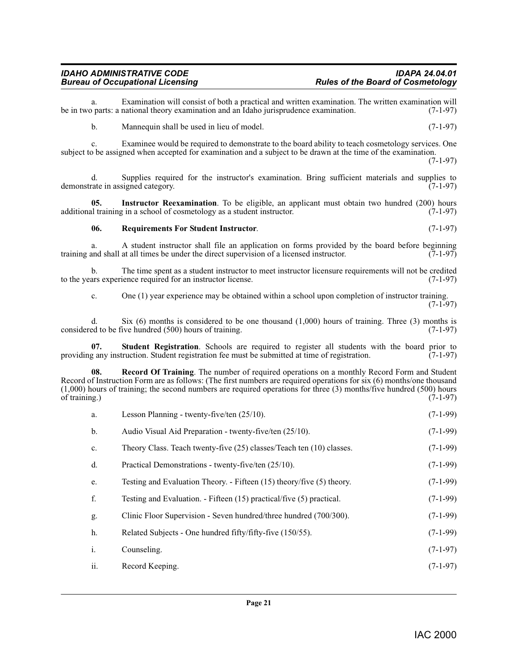# *IDAHO ADMINISTRATIVE CODE IDAPA 24.04.01*

a. Examination will consist of both a practical and written examination. The written examination will be in two parts: a national theory examination and an Idaho jurisprudence examination. b. Mannequin shall be used in lieu of model. (7-1-97)

c. Examinee would be required to demonstrate to the board ability to teach cosmetology services. One subject to be assigned when accepted for examination and a subject to be drawn at the time of the examination. (7-1-97)

d. Supplies required for the instructor's examination. Bring sufficient materials and supplies to rate in assigned category. (7-1-97) demonstrate in assigned category.

**05.** Instructor Reexamination. To be eligible, an applicant must obtain two hundred (200) hours al training in a school of cosmetology as a student instructor. (7-1-97) additional training in a school of cosmetology as a student instructor.

#### <span id="page-20-2"></span><span id="page-20-0"></span>**06. Requirements For Student Instructor**. (7-1-97)

a. A student instructor shall file an application on forms provided by the board before beginning training and shall at all times be under the direct supervision of a licensed instructor. (7-1-97)

b. The time spent as a student instructor to meet instructor licensure requirements will not be credited ars experience required for an instructor license. (7-1-97) to the years experience required for an instructor license.

<span id="page-20-3"></span>c. One (1) year experience may be obtained within a school upon completion of instructor training.  $(7-1-97)$ 

d. Six (6) months is considered to be one thousand  $(1,000)$  hours of training. Three (3) months is ed to be five hundred (500) hours of training.  $(7-1-97)$ considered to be five hundred (500) hours of training.

**07. Student Registration**. Schools are required to register all students with the board prior to any instruction. Student registration fee must be submitted at time of registration. (7-1-97) providing any instruction. Student registration fee must be submitted at time of registration.

**Record Of Training**. The number of required operations on a monthly Record Form and Student Record of Instruction Form are as follows: (The first numbers are required operations for six (6) months/one thousand (1,000) hours of training; the second numbers are required operations for three (3) months/five hundred (500) hours of training.)  $(7-1-97)$ of training.)  $(7-1-97)$ 

<span id="page-20-1"></span>

| a. | Lesson Planning - twenty-five/ten $(25/10)$ .                         | $(7-1-99)$ |
|----|-----------------------------------------------------------------------|------------|
| b. | Audio Visual Aid Preparation - twenty-five/ten (25/10).               | $(7-1-99)$ |
| c. | Theory Class. Teach twenty-five (25) classes/Teach ten (10) classes.  | $(7-1-99)$ |
| d. | Practical Demonstrations - twenty-five/ten (25/10).                   | $(7-1-99)$ |
| e. | Testing and Evaluation Theory. - Fifteen (15) theory/five (5) theory. | $(7-1-99)$ |
|    | Testing and Evaluation. - Fifteen (15) practical/five (5) practical.  | $(7-1-99)$ |
|    |                                                                       |            |

- g. Clinic Floor Supervision Seven hundred/three hundred (700/300). (7-1-99)
- h. Related Subjects One hundred fifty/fifty-five (150/55). (7-1-99)
- i. Counseling. (7-1-97)
- ii. Record Keeping. (7-1-97)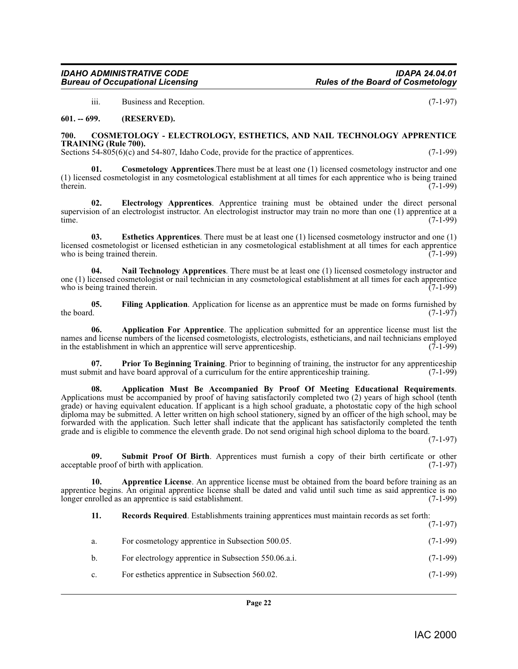<span id="page-21-5"></span>iii. Business and Reception. (7-1-97)

#### <span id="page-21-0"></span>**601. -- 699. (RESERVED).**

#### <span id="page-21-1"></span>**700. COSMETOLOGY - ELECTROLOGY, ESTHETICS, AND NAIL TECHNOLOGY APPRENTICE TRAINING (Rule 700).**

Sections 54-805(6)(c) and 54-807, Idaho Code, provide for the practice of apprentices. (7-1-99)

<span id="page-21-6"></span>**Cosmetology Apprentices**. There must be at least one (1) licensed cosmetology instructor and one (1) licensed cosmetologist in any cosmetological establishment at all times for each apprentice who is being trained therein. (7-1-99)

<span id="page-21-7"></span>**02. Electrology Apprentices**. Apprentice training must be obtained under the direct personal supervision of an electrologist instructor. An electrologist instructor may train no more than one (1) apprentice at a time. (7-1-99)

<span id="page-21-8"></span>**03. Esthetics Apprentices**. There must be at least one (1) licensed cosmetology instructor and one (1) licensed cosmetologist or licensed esthetician in any cosmetological establishment at all times for each apprentice who is being trained therein. (7-1-99)

<span id="page-21-10"></span>**04. Nail Technology Apprentices**. There must be at least one (1) licensed cosmetology instructor and one (1) licensed cosmetologist or nail technician in any cosmetological establishment at all times for each apprentice<br>who is being trained therein. who is being trained therein.

<span id="page-21-9"></span>**05.** Filing Application. Application for license as an apprentice must be made on forms furnished by the board. (7-1-97) the board.  $(7-1-97)$ 

<span id="page-21-2"></span>**06. Application For Apprentice**. The application submitted for an apprentice license must list the names and license numbers of the licensed cosmetologists, electrologists, estheticians, and nail technicians employed<br>in the establishment in which an apprentice will serve apprenticeship. (7-1-99) in the establishment in which an apprentice will serve apprenticeship.

<span id="page-21-11"></span>**07. Prior To Beginning Training**. Prior to beginning of training, the instructor for any apprenticeship mit and have board approval of a curriculum for the entire apprenticeship training. (7-1-99) must submit and have board approval of a curriculum for the entire apprenticeship training.

<span id="page-21-3"></span>**08. Application Must Be Accompanied By Proof Of Meeting Educational Requirements**. Applications must be accompanied by proof of having satisfactorily completed two (2) years of high school (tenth grade) or having equivalent education. If applicant is a high school graduate, a photostatic copy of the high school diploma may be submitted. A letter written on high school stationery, signed by an officer of the high school, may be forwarded with the application. Such letter shall indicate that the applicant has satisfactorily completed the tenth grade and is eligible to commence the eleventh grade. Do not send original high school diploma to the board.

(7-1-97)

<span id="page-21-12"></span>**09.** Submit Proof Of Birth. Apprentices must furnish a copy of their birth certificate or other le proof of birth with application. (7-1-97) acceptable proof of birth with application.

**10. Apprentice License**. An apprentice license must be obtained from the board before training as an apprentice begins. An original apprentice license shall be dated and valid until such time as said apprentice is no longer enrolled as an apprentice is said establishment. (7-1-99)

<span id="page-21-4"></span>**11. Records Required**. Establishments training apprentices must maintain records as set forth: (7-1-97)

| а.             | For cosmetology apprentice in Subsection 500.05.     | $(7-1-99)$ |
|----------------|------------------------------------------------------|------------|
| b.             | For electrology apprentice in Subsection 550.06.a.i. | $(7-1-99)$ |
| $\mathbf{c}$ . | For esthetics apprentice in Subsection 560.02.       | $(7-1-99)$ |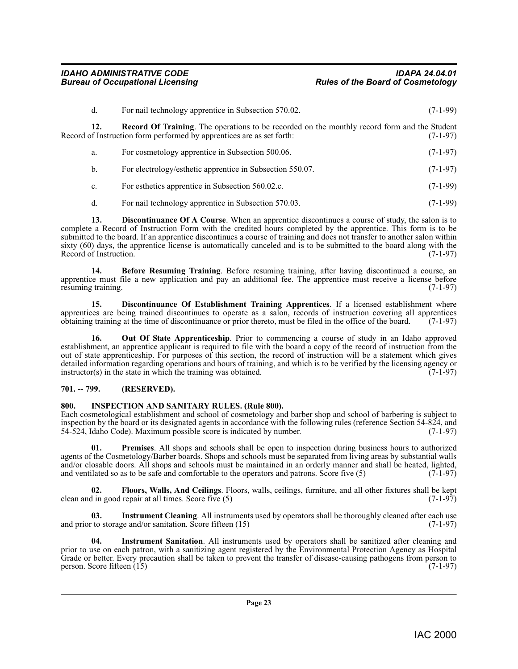<span id="page-22-11"></span>

| d.  | For nail technology apprentice in Subsection 570.02.                                                                                                                         | $(7-1-99)$ |
|-----|------------------------------------------------------------------------------------------------------------------------------------------------------------------------------|------------|
| 12. | <b>Record Of Training.</b> The operations to be recorded on the monthly record form and the Student<br>Record of Instruction form performed by apprentices are as set forth: | $(7-1-97)$ |
| a.  | For cosmetology apprentice in Subsection 500.06.                                                                                                                             | $(7-1-97)$ |
| b.  | For electrology/esthetic apprentice in Subsection 550.07.                                                                                                                    | $(7-1-97)$ |
|     |                                                                                                                                                                              |            |

- c. For esthetics apprentice in Subsection 560.02.c. (7-1-99)
- <span id="page-22-3"></span>d. For nail technology apprentice in Subsection 570.03. (7-1-99)

**13. Discontinuance Of A Course**. When an apprentice discontinues a course of study, the salon is to complete a Record of Instruction Form with the credited hours completed by the apprentice. This form is to be submitted to the board. If an apprentice discontinues a course of training and does not transfer to another salon within sixty (60) days, the apprentice license is automatically canceled and is to be submitted to the board along with the Record of Instruction. (7-1-97)

<span id="page-22-2"></span>**14. Before Resuming Training**. Before resuming training, after having discontinued a course, an apprentice must file a new application and pay an additional fee. The apprentice must receive a license before resuming training. (7-1-97) resuming training.

<span id="page-22-4"></span>**15. Discontinuance Of Establishment Training Apprentices**. If a licensed establishment where apprentices are being trained discontinues to operate as a salon, records of instruction covering all apprentices obtaining training at the time of discontinuance or prior thereto, must be filed in the office of the board obtaining training at the time of discontinuance or prior thereto, must be filed in the office of the board.

<span id="page-22-9"></span>**16. Out Of State Apprenticeship**. Prior to commencing a course of study in an Idaho approved establishment, an apprentice applicant is required to file with the board a copy of the record of instruction from the out of state apprenticeship. For purposes of this section, the record of instruction will be a statement which gives detailed information regarding operations and hours of training, and which is to be verified by the licensing agency or instructor(s) in the state in which the training was obtained. (7-1-97)  $instructor(s)$  in the state in which the training was obtained.

### <span id="page-22-0"></span>**701. -- 799. (RESERVED).**

### <span id="page-22-6"></span><span id="page-22-1"></span>**800. INSPECTION AND SANITARY RULES. (Rule 800).**

Each cosmetological establishment and school of cosmetology and barber shop and school of barbering is subject to inspection by the board or its designated agents in accordance with the following rules (reference Section 54-824, and 54-524, Idaho Code). Maximum possible score is indicated by number.

<span id="page-22-10"></span>**01. Premises**. All shops and schools shall be open to inspection during business hours to authorized agents of the Cosmetology/Barber boards. Shops and schools must be separated from living areas by substantial walls and/or closable doors. All shops and schools must be maintained in an orderly manner and shall be heated, lighted, and ventilated so as to be safe and comfortable to the operators and patrons. Score five  $(5)$   $(7-1-97)$ and ventilated so as to be safe and comfortable to the operators and patrons. Score five (5)

<span id="page-22-5"></span>**02. Floors, Walls, And Ceilings**. Floors, walls, ceilings, furniture, and all other fixtures shall be kept clean and in good repair at all times. Score five  $(5)$  (7-1-97)

<span id="page-22-7"></span>**Instrument Cleaning**. All instruments used by operators shall be thoroughly cleaned after each use and/or sanitation. Score fifteen (15) and prior to storage and/or sanitation. Score fifteen  $(15)$ 

<span id="page-22-8"></span>**04. Instrument Sanitation**. All instruments used by operators shall be sanitized after cleaning and prior to use on each patron, with a sanitizing agent registered by the Environmental Protection Agency as Hospital Grade or better. Every precaution shall be taken to prevent the transfer of disease-causing pathogens from person to person. Score fifteen  $(15)$  (7-1-97)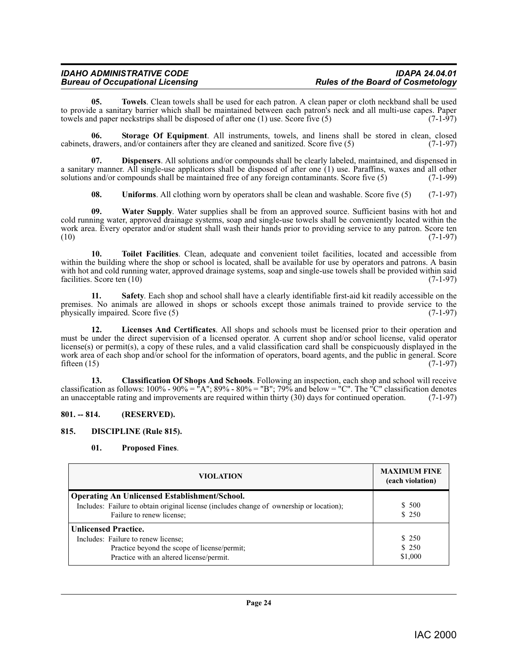# *IDAHO ADMINISTRATIVE CODE IDAPA 24.04.01*

<span id="page-23-10"></span>**05. Towels**. Clean towels shall be used for each patron. A clean paper or cloth neckband shall be used to provide a sanitary barrier which shall be maintained between each patron's neck and all multi-use capes. Paper towels and paper neckstrips shall be disposed of after one  $(1)$  use. Score five  $(5)$   $(7-1-97)$ towels and paper neckstrips shall be disposed of after one  $(1)$  use. Score five  $(5)$ 

<span id="page-23-8"></span>**06. Storage Of Equipment**. All instruments, towels, and linens shall be stored in clean, closed cabinets, drawers, and/or containers after they are cleaned and sanitized. Score five (5) (7-1-97)

**07. Dispensers**. All solutions and/or compounds shall be clearly labeled, maintained, and dispensed in a sanitary manner. All single-use applicators shall be disposed of after one (1) use. Paraffins, waxes and all other solutions and/or compounds shall be maintained free of any foreign contaminants. Score five (5) (7-1-99)

<span id="page-23-12"></span><span id="page-23-11"></span><span id="page-23-9"></span><span id="page-23-4"></span>**08.** Uniforms. All clothing worn by operators shall be clean and washable. Score five (5) (7-1-97)

**09. Water Supply**. Water supplies shall be from an approved source. Sufficient basins with hot and cold running water, approved drainage systems, soap and single-use towels shall be conveniently located within the work area. Every operator and/or student shall wash their hands prior to providing service to any patron. Score ten (10) (7-1-97)  $(10)$   $(7-1-97)$ 

**10. Toilet Facilities**. Clean, adequate and convenient toilet facilities, located and accessible from within the building where the shop or school is located, shall be available for use by operators and patrons. A basin with hot and cold running water, approved drainage systems, soap and single-use towels shall be provided within said facilities. Score ten (10) (7-1-97) facilities. Score ten  $(10)$ 

<span id="page-23-7"></span>**11. Safety**. Each shop and school shall have a clearly identifiable first-aid kit readily accessible on the premises. No animals are allowed in shops or schools except those animals trained to provide service to the physically impaired. Score five (5) (7-1-97) physically impaired. Score five  $(5)$ 

<span id="page-23-5"></span>**12. Licenses And Certificates**. All shops and schools must be licensed prior to their operation and must be under the direct supervision of a licensed operator. A current shop and/or school license, valid operator license(s) or permit(s), a copy of these rules, and a valid classification card shall be conspicuously displayed in the work area of each shop and/or school for the information of operators, board agents, and the public in general. Score fifteen (15) (7-1-97) fifteen  $(15)$  (7-1-97)

<span id="page-23-2"></span>**13. Classification Of Shops And Schools**. Following an inspection, each shop and school will receive classification as follows:  $100\% - 90\% = \pi A''$ ;  $89\% - 80\% = \pi B''$ ;  $79\%$  and below =  $\pi C''$ . The  $\pi C''$  classification denotes an unacceptable rating and improvements are required within thirty (30) days for continued operation. (7-1-97)

### <span id="page-23-0"></span>**801. -- 814. (RESERVED).**

### <span id="page-23-1"></span>**815. DISCIPLINE (Rule 815).**

### <span id="page-23-6"></span><span id="page-23-3"></span>**01. Proposed Fines**.

| <b>VIOLATION</b>                                                                                                                                                              | <b>MAXIMUM FINE</b><br>(each violation) |
|-------------------------------------------------------------------------------------------------------------------------------------------------------------------------------|-----------------------------------------|
| <b>Operating An Unlicensed Establishment/School.</b><br>Includes: Failure to obtain original license (includes change of ownership or location);<br>Failure to renew license; | \$ 500<br>\$250                         |
| <b>Unlicensed Practice.</b><br>Includes: Failure to renew license;<br>Practice beyond the scope of license/permit;<br>Practice with an altered license/permit.                | \$ 250<br>\$250<br>\$1,000              |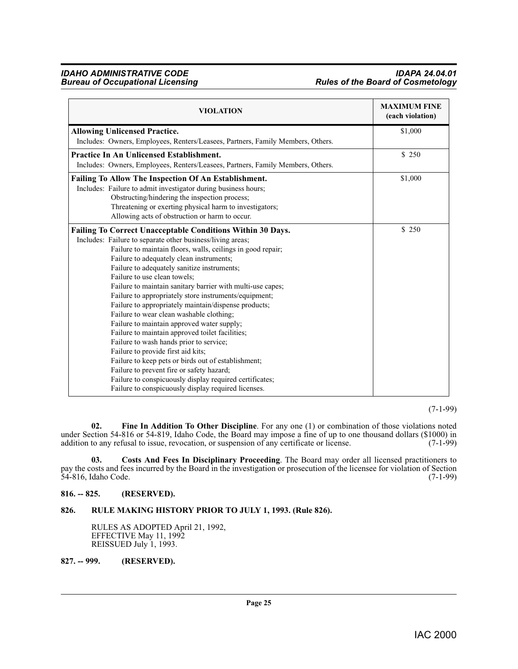## *IDAHO ADMINISTRATIVE CODE IDAPA 24.04.01* **Rules of the Board of Cosmetology**

| <b>VIOLATION</b>                                                                                                                                                                                                                                                                                                                                                                                                                                                                                                                                                                                                                                                                                                                                                                                                                                                                                                                                             | <b>MAXIMUM FINE</b><br>(each violation) |
|--------------------------------------------------------------------------------------------------------------------------------------------------------------------------------------------------------------------------------------------------------------------------------------------------------------------------------------------------------------------------------------------------------------------------------------------------------------------------------------------------------------------------------------------------------------------------------------------------------------------------------------------------------------------------------------------------------------------------------------------------------------------------------------------------------------------------------------------------------------------------------------------------------------------------------------------------------------|-----------------------------------------|
| <b>Allowing Unlicensed Practice.</b>                                                                                                                                                                                                                                                                                                                                                                                                                                                                                                                                                                                                                                                                                                                                                                                                                                                                                                                         | \$1,000                                 |
| Includes: Owners, Employees, Renters/Leasees, Partners, Family Members, Others.                                                                                                                                                                                                                                                                                                                                                                                                                                                                                                                                                                                                                                                                                                                                                                                                                                                                              |                                         |
| <b>Practice In An Unlicensed Establishment.</b>                                                                                                                                                                                                                                                                                                                                                                                                                                                                                                                                                                                                                                                                                                                                                                                                                                                                                                              | \$ 250                                  |
| Includes: Owners, Employees, Renters/Leasees, Partners, Family Members, Others.                                                                                                                                                                                                                                                                                                                                                                                                                                                                                                                                                                                                                                                                                                                                                                                                                                                                              |                                         |
| Failing To Allow The Inspection Of An Establishment.<br>Includes: Failure to admit investigator during business hours;<br>Obstructing/hindering the inspection process;<br>Threatening or exerting physical harm to investigators;<br>Allowing acts of obstruction or harm to occur.                                                                                                                                                                                                                                                                                                                                                                                                                                                                                                                                                                                                                                                                         | \$1,000                                 |
| <b>Failing To Correct Unacceptable Conditions Within 30 Days.</b><br>Includes: Failure to separate other business/living areas;<br>Failure to maintain floors, walls, ceilings in good repair;<br>Failure to adequately clean instruments;<br>Failure to adequately sanitize instruments;<br>Failure to use clean towels;<br>Failure to maintain sanitary barrier with multi-use capes;<br>Failure to appropriately store instruments/equipment;<br>Failure to appropriately maintain/dispense products;<br>Failure to wear clean washable clothing;<br>Failure to maintain approved water supply;<br>Failure to maintain approved toilet facilities;<br>Failure to wash hands prior to service;<br>Failure to provide first aid kits;<br>Failure to keep pets or birds out of establishment;<br>Failure to prevent fire or safety hazard;<br>Failure to conspicuously display required certificates;<br>Failure to conspicuously display required licenses. | \$250                                   |

(7-1-99)

<span id="page-24-4"></span>**02. Fine In Addition To Other Discipline**. For any one (1) or combination of those violations noted under Section 54-816 or 54-819, Idaho Code, the Board may impose a fine of up to one thousand dollars (\$1000) in addition to any refusal to issue, revocation, or suspension of any certificate or license. (7-1-99)

<span id="page-24-3"></span>**03. Costs And Fees In Disciplinary Proceeding**. The Board may order all licensed practitioners to pay the costs and fees incurred by the Board in the investigation or prosecution of the licensee for violation of Section 54-816, Idaho Code. (7-1-99)

### <span id="page-24-0"></span>**816. -- 825. (RESERVED).**

### <span id="page-24-1"></span>**826. RULE MAKING HISTORY PRIOR TO JULY 1, 1993. (Rule 826).**

<span id="page-24-5"></span>RULES AS ADOPTED April 21, 1992, EFFECTIVE May 11, 1992 REISSUED July 1, 1993.

<span id="page-24-2"></span>**827. -- 999. (RESERVED).**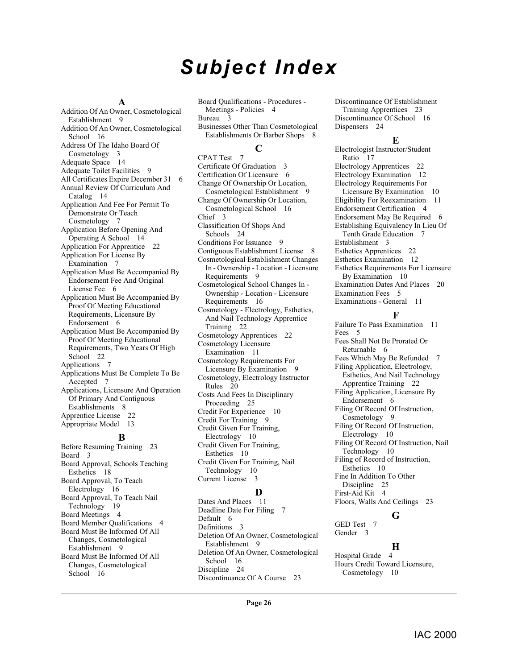# *Subject Index*

#### **A**

Addition Of An Owner, Cosmetological Establishment [9](#page-8-4) Addition Of An Owner, Cosmetological School [16](#page-15-4) Address Of The Idaho Board Of Cosmetology [3](#page-2-8) Adequate Space [14](#page-13-8) Adequate Toilet Facilities [9](#page-8-5) All Certificates Expire December 31 [6](#page-5-4) Annual Review Of Curriculum And Catalog [14](#page-13-9) Application And Fee For Permit To Demonstrate Or Teach Cosmetology [7](#page-6-6) Application Before Opening And Operating A School [14](#page-13-10) Application For Apprentice [22](#page-21-2) Application For License By Examination [7](#page-6-7) Application Must Be Accompanied By Endorsement Fee And Original License Fee [6](#page-5-5) Application Must Be Accompanied By Proof Of Meeting Educational Requirements, Licensure By Endorsement [6](#page-5-6) Application Must Be Accompanied By Proof Of Meeting Educational Requirements, Two Years Of High School [22](#page-21-3) Applications [7](#page-6-8) Applications Must Be Complete To Be Accepted [7](#page-6-9) Applications, Licensure And Operation Of Primary And Contiguous Establishments [8](#page-7-1) Apprentice License [22](#page-21-4) Appropriate Model [13](#page-12-6)

#### **B**

Before Resuming Training [23](#page-22-2) Board [3](#page-2-9) Board Approval, Schools Teaching Esthetics [18](#page-17-2) Board Approval, To Teach Electrology [16](#page-15-5) Board Approval, To Teach Nail Technology [19](#page-18-2) Board Meetings [4](#page-3-2) Board Member Qualifications [4](#page-3-3) Board Must Be Informed Of All Changes, Cosmetological Establishment [9](#page-8-6) Board Must Be Informed Of All Changes, Cosmetological School [16](#page-15-6)

Board Qualifications - Procedures - Meetings - Policies [4](#page-3-4) Bureau [3](#page-2-10) Businesses Other Than Cosmetological Establishments Or Barber Shops [8](#page-7-2) **C**

CPAT Test [7](#page-6-10) Certificate Of Graduation [3](#page-2-11) Certification Of Licensure [6](#page-5-7) Change Of Ownership Or Location, Cosmetological Establishment [9](#page-8-7) Change Of Ownership Or Location, Cosmetological School [16](#page-15-7) Chief [3](#page-2-12) Classification Of Shops And Schools [24](#page-23-2) Conditions For Issuance [9](#page-8-8) Contiguous Establishment License [8](#page-7-3) Cosmetological Establishment Changes In - Ownership - Location - Licensure Requirements [9](#page-8-9) Cosmetological School Changes In - Ownership - Location - Licensure Requirements [16](#page-15-8) Cosmetology - Electrology, Esthetics, And Nail Technology Apprentice Training [22](#page-21-5) Cosmetology Apprentices [22](#page-21-6) Cosmetology Licensure Examination [11](#page-10-3) Cosmetology Requirements For Licensure By Examination [9](#page-8-10) Cosmetology, Electrology Instructor Rules [20](#page-19-2) Costs And Fees In Disciplinary Proceeding [25](#page-24-3) Credit For Experience [10](#page-9-6) Credit For Training [9](#page-8-11) Credit Given For Training, Electrology [10](#page-9-7) Credit Given For Training, Esthetics [10](#page-9-8) Credit Given For Training, Nail Technology [10](#page-9-9) Current License [3](#page-2-13)

## **D**

Dates And Places [11](#page-10-4) Deadline Date For Filing [7](#page-6-11) Default [6](#page-5-8) Definitions [3](#page-2-14) Deletion Of An Owner, Cosmetological Establishment [9](#page-8-12) Deletion Of An Owner, Cosmetological School [16](#page-15-9) Discipline [24](#page-23-3) Discontinuance Of A Course [23](#page-22-3)

Discontinuance Of Establishment Training Apprentices [23](#page-22-4) Discontinuance Of School [16](#page-15-10) Dispensers [24](#page-23-4)

## **E**

Electrologist Instructor/Student Ratio [17](#page-16-0) Electrology Apprentices [22](#page-21-7) Electrology Examination [12](#page-11-4) Electrology Requirements For Licensure By Examination [10](#page-9-10) Eligibility For Reexamination [11](#page-10-5) Endorsement Certification [4](#page-3-5) Endorsement May Be Required [6](#page-5-9) Establishing Equivalency In Lieu Of Tenth Grade Education [7](#page-6-12) Establishment [3](#page-2-15) Esthetics Apprentices [22](#page-21-8) Esthetics Examination [12](#page-11-5) Esthetics Requirements For Licensure By Examination [10](#page-9-11) Examination Dates And Places [20](#page-19-3) Examination Fees [5](#page-4-2) Examinations - General [11](#page-10-6)

# **F**

Failure To Pass Examination [11](#page-10-7) Fees [5](#page-4-3) Fees Shall Not Be Prorated Or Returnable [6](#page-5-10) Fees Which May Be Refunded [7](#page-6-13) Filing Application, Electrology, Esthetics, And Nail Technology Apprentice Training [22](#page-21-9) Filing Application, Licensure By Endorsement [6](#page-5-11) Filing Of Record Of Instruction, Cosmetology [9](#page-8-13) Filing Of Record Of Instruction, Electrology [10](#page-9-12) Filing Of Record Of Instruction, Nail Technology [10](#page-9-13) Filing of Record of Instruction, Esthetics [10](#page-9-14) Fine In Addition To Other Discipline [25](#page-24-4) First-Aid Kit [4](#page-3-6) Floors, Walls And Ceilings [23](#page-22-5)

# **G**

GED Test [7](#page-6-14) Gender [3](#page-2-16)

## **H**

Hospital Grade [4](#page-3-7) Hours Credit Toward Licensure, Cosmetology [10](#page-9-15)